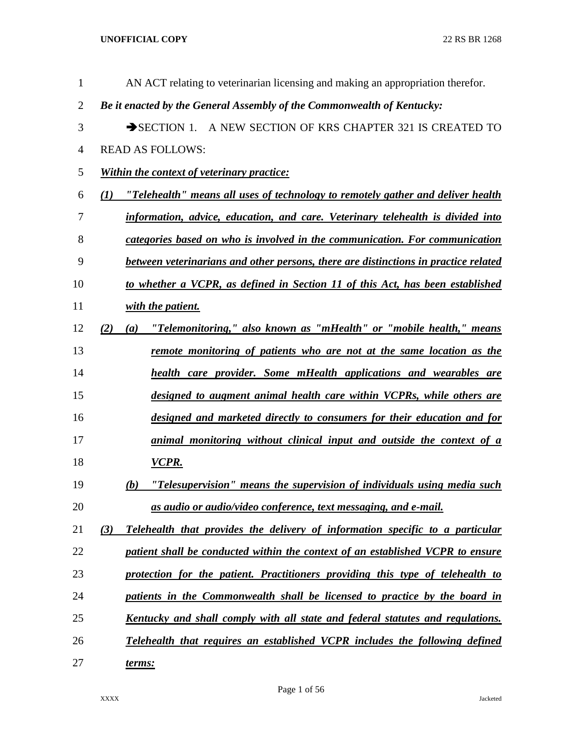| $\mathbf{1}$   | AN ACT relating to veterinarian licensing and making an appropriation therefor.        |
|----------------|----------------------------------------------------------------------------------------|
| $\overline{2}$ | Be it enacted by the General Assembly of the Commonwealth of Kentucky:                 |
| 3              | SECTION 1. A NEW SECTION OF KRS CHAPTER 321 IS CREATED TO                              |
| 4              | <b>READ AS FOLLOWS:</b>                                                                |
| 5              | <b>Within the context of veterinary practice:</b>                                      |
| 6              | "Telehealth" means all uses of technology to remotely gather and deliver health<br>(1) |
| 7              | information, advice, education, and care. Veterinary telehealth is divided into        |
| 8              | categories based on who is involved in the communication. For communication            |
| 9              | between veterinarians and other persons, there are distinctions in practice related    |
| 10             | to whether a VCPR, as defined in Section 11 of this Act, has been established          |
| 11             | with the patient.                                                                      |
| 12             | "Telemonitoring," also known as "mHealth" or "mobile health," means<br>(2)<br>(a)      |
| 13             | remote monitoring of patients who are not at the same location as the                  |
| 14             | health care provider. Some mHealth applications and wearables are                      |
| 15             | designed to augment animal health care within VCPRs, while others are                  |
| 16             | designed and marketed directly to consumers for their education and for                |
| 17             | animal monitoring without clinical input and outside the context of a                  |
| 18             | VCPR.                                                                                  |
| 19             | "Telesupervision" means the supervision of individuals using media such<br>(b)         |
| 20             | <u>as audio or audio/video conference, text messaging, and e-mail.</u>                 |
| 21             | (3)<br>Telehealth that provides the delivery of information specific to a particular   |
| 22             | patient shall be conducted within the context of an established VCPR to ensure         |
| 23             | protection for the patient. Practitioners providing this type of telehealth to         |
| 24             | patients in the Commonwealth shall be licensed to practice by the board in             |
| 25             | Kentucky and shall comply with all state and federal statutes and regulations.         |
| 26             | Telehealth that requires an established VCPR includes the following defined            |
| 27             | <u>terms:</u>                                                                          |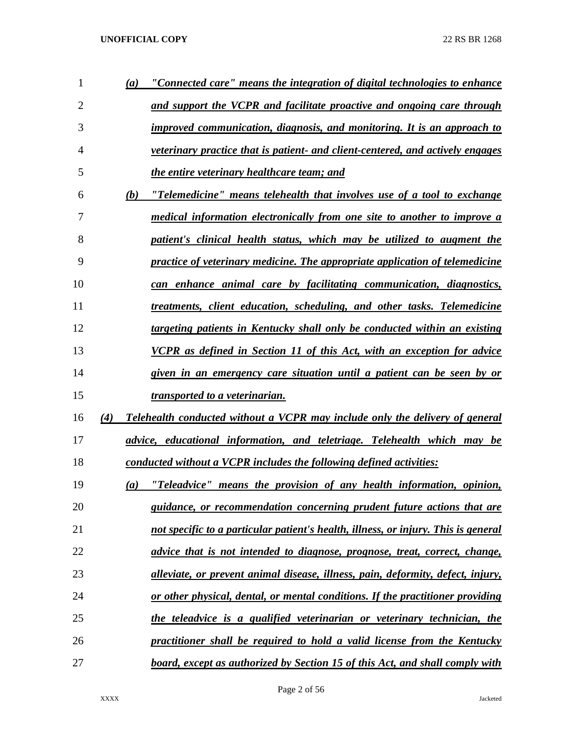| 1  | $\boldsymbol{a}$ | "Connected care" means the integration of digital technologies to enhance          |
|----|------------------|------------------------------------------------------------------------------------|
| 2  |                  | <u>and support the VCPR and facilitate proactive and ongoing care through</u>      |
| 3  |                  | improved communication, diagnosis, and monitoring. It is an approach to            |
| 4  |                  | veterinary practice that is patient- and client-centered, and actively engages     |
| 5  |                  | the entire veterinary healthcare team; and                                         |
| 6  | (b)              | "Telemedicine" means telehealth that involves use of a tool to exchange            |
| 7  |                  | <u>medical information electronically from one site to another to improve a</u>    |
| 8  |                  | patient's clinical health status, which may be utilized to augment the             |
| 9  |                  | practice of veterinary medicine. The appropriate application of telemedicine       |
| 10 |                  | can enhance animal care by facilitating communication, diagnostics,                |
| 11 |                  | treatments, client education, scheduling, and other tasks. Telemedicine            |
| 12 |                  | targeting patients in Kentucky shall only be conducted within an existing          |
| 13 |                  | <b>VCPR</b> as defined in Section 11 of this Act, with an exception for advice     |
| 14 |                  | given in an emergency care situation until a patient can be seen by or             |
| 15 |                  | <u>transported to a veterinarian.</u>                                              |
| 16 | (4)              | Telehealth conducted without a VCPR may include only the delivery of general       |
| 17 |                  | advice, educational information, and teletriage. Telehealth which may be           |
| 18 |                  | conducted without a VCPR includes the following defined activities:                |
| 19 | (a)              | "Teleadvice" means the provision of any health information, opinion,               |
| 20 |                  | guidance, or recommendation concerning prudent future actions that are             |
| 21 |                  | not specific to a particular patient's health, illness, or injury. This is general |
| 22 |                  | advice that is not intended to diagnose, prognose, treat, correct, change,         |
| 23 |                  | alleviate, or prevent animal disease, illness, pain, deformity, defect, injury,    |
| 24 |                  | or other physical, dental, or mental conditions. If the practitioner providing     |
| 25 |                  | the teleadvice is a qualified veterinarian or veterinary technician, the           |
| 26 |                  | practitioner shall be required to hold a valid license from the Kentucky           |
| 27 |                  | board, except as authorized by Section 15 of this Act, and shall comply with       |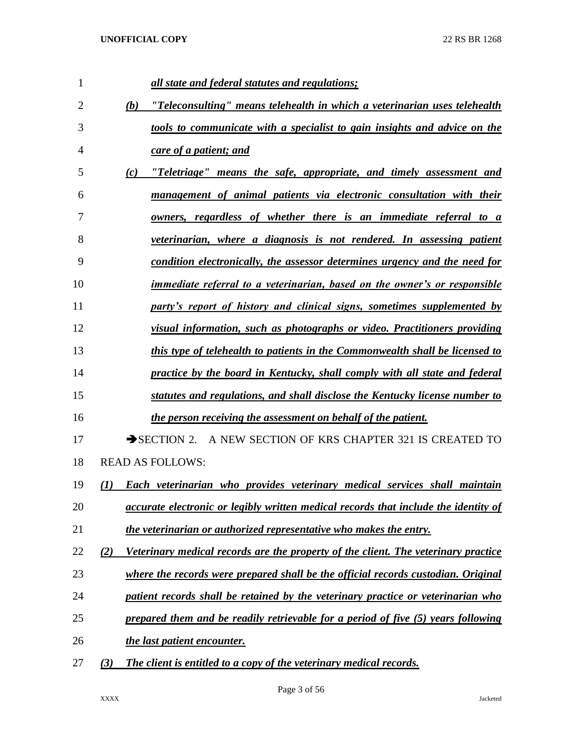| 1  | all state and federal statutes and regulations;                                            |
|----|--------------------------------------------------------------------------------------------|
| 2  | "Teleconsulting" means telehealth in which a veterinarian uses telehealth<br>(b)           |
| 3  | tools to communicate with a specialist to gain insights and advice on the                  |
| 4  | care of a patient; and                                                                     |
| 5  | "Teletriage" means the safe, appropriate, and timely assessment and<br>(c)                 |
| 6  | management of animal patients via electronic consultation with their                       |
| 7  | <u>owners, regardless of whether there is an immediate referral to a</u>                   |
| 8  | veterinarian, where a diagnosis is not rendered. In assessing patient                      |
| 9  | condition electronically, the assessor determines urgency and the need for                 |
| 10 | <i>immediate referral to a veterinarian, based on the owner's or responsible</i>           |
| 11 | party's report of history and clinical signs, sometimes supplemented by                    |
| 12 | visual information, such as photographs or video. Practitioners providing                  |
| 13 | this type of telehealth to patients in the Commonwealth shall be licensed to               |
| 14 | practice by the board in Kentucky, shall comply with all state and federal                 |
| 15 | statutes and regulations, and shall disclose the Kentucky license number to                |
| 16 | the person receiving the assessment on behalf of the patient.                              |
| 17 | SECTION 2. A NEW SECTION OF KRS CHAPTER 321 IS CREATED TO                                  |
| 18 | <b>READ AS FOLLOWS:</b>                                                                    |
| 19 | Each veterinarian who provides veterinary medical services shall maintain<br>(1)           |
| 20 | <i>accurate electronic or legibly written medical records that include the identity of</i> |
| 21 | the veterinarian or authorized representative who makes the entry.                         |
| 22 | Veterinary medical records are the property of the client. The veterinary practice<br>(2)  |
| 23 | where the records were prepared shall be the official records custodian. Original          |
| 24 | patient records shall be retained by the veterinary practice or veterinarian who           |
| 25 | prepared them and be readily retrievable for a period of five (5) years following          |
| 26 | the last patient encounter.                                                                |
| 27 | The client is entitled to a copy of the veterinary medical records.<br>(3)                 |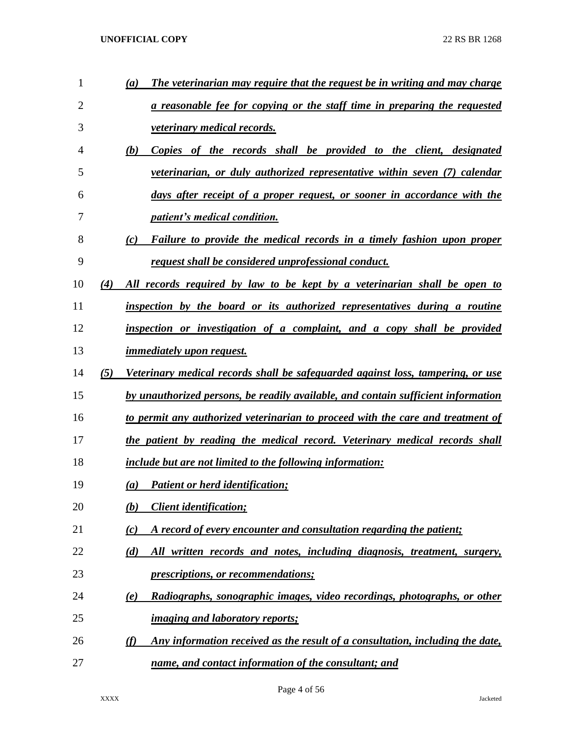| 1              |     | The veterinarian may require that the request be in writing and may charge<br>(a)    |
|----------------|-----|--------------------------------------------------------------------------------------|
| $\overline{2}$ |     | a reasonable fee for copying or the staff time in preparing the requested            |
| 3              |     | <b>veterinary medical records.</b>                                                   |
| 4              |     | (b)<br>Copies of the records shall be provided to the client, designated             |
| 5              |     | veterinarian, or duly authorized representative within seven (7) calendar            |
| 6              |     | days after receipt of a proper request, or sooner in accordance with the             |
| 7              |     | <i>patient's medical condition.</i>                                                  |
| 8              |     | Failure to provide the medical records in a timely fashion upon proper<br>(c)        |
| 9              |     | request shall be considered unprofessional conduct.                                  |
| 10             | (4) | All records required by law to be kept by a veterinarian shall be open to            |
| 11             |     | inspection by the board or its authorized representatives during a routine           |
| 12             |     | inspection or investigation of a complaint, and a copy shall be provided             |
| 13             |     | <i>immediately upon request.</i>                                                     |
| 14             | (5) | Veterinary medical records shall be safeguarded against loss, tampering, or use      |
| 15             |     | by unauthorized persons, be readily available, and contain sufficient information    |
| 16             |     | to permit any authorized veterinarian to proceed with the care and treatment of      |
| 17             |     | the patient by reading the medical record. Veterinary medical records shall          |
| 18             |     | <i>include but are not limited to the following information:</i>                     |
| 19             |     | <b>Patient or herd identification;</b><br>(a)                                        |
| 20             |     | <b>Client identification;</b><br>(b)                                                 |
| 21             |     | A record of every encounter and consultation regarding the patient;<br>(c)           |
| 22             |     | All written records and notes, including diagnosis, treatment, surgery,<br>(d)       |
| 23             |     | <i>prescriptions, or recommendations;</i>                                            |
| 24             |     | Radiographs, sonographic images, video recordings, photographs, or other<br>(e)      |
| 25             |     | <i>imaging and laboratory reports;</i>                                               |
| 26             |     | Any information received as the result of a consultation, including the date,<br>(f) |
| 27             |     | name, and contact information of the consultant; and                                 |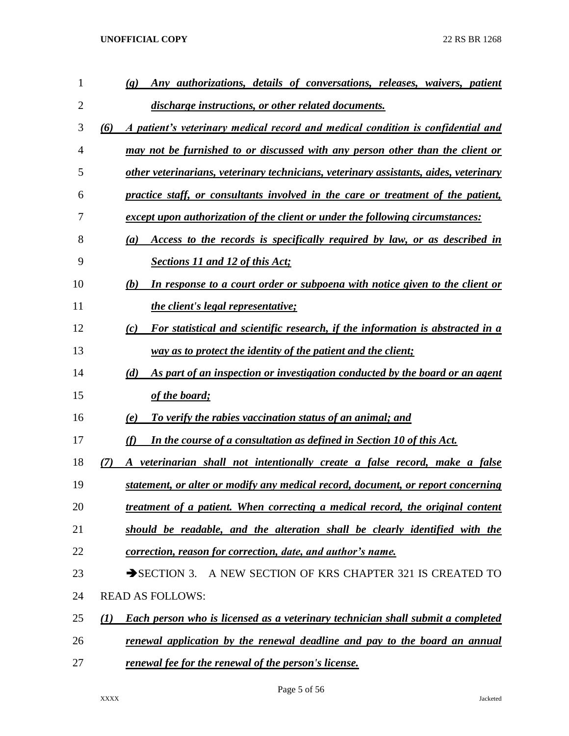| 1              | Any authorizations, details of conversations, releases, waivers, patient<br>$\left( \mathbf{g} \right)$ |
|----------------|---------------------------------------------------------------------------------------------------------|
| $\overline{2}$ | discharge instructions, or other related documents.                                                     |
| 3              | A patient's veterinary medical record and medical condition is confidential and<br>(6)                  |
| 4              | may not be furnished to or discussed with any person other than the client or                           |
| 5              | other veterinarians, veterinary technicians, veterinary assistants, aides, veterinary                   |
| 6              | practice staff, or consultants involved in the care or treatment of the patient,                        |
| 7              | except upon authorization of the client or under the following circumstances:                           |
| 8              | Access to the records is specifically required by law, or as described in<br>(a)                        |
| 9              | <b>Sections 11 and 12 of this Act;</b>                                                                  |
| 10             | In response to a court order or subpoena with notice given to the client or<br>(b)                      |
| 11             | <i>the client's legal representative;</i>                                                               |
| 12             | For statistical and scientific research, if the information is abstracted in a<br>(c)                   |
| 13             | way as to protect the identity of the patient and the client;                                           |
| 14             | As part of an inspection or investigation conducted by the board or an agent<br>(d)                     |
| 15             | of the board;                                                                                           |
| 16             | To verify the rabies vaccination status of an animal; and<br>(e)                                        |
| 17             | (f)<br>In the course of a consultation as defined in Section 10 of this Act.                            |
| 18             | A veterinarian shall not intentionally create a false record, make a false<br>7)                        |
| 19             | statement, or alter or modify any medical record, document, or report concerning                        |
| 20             | treatment of a patient. When correcting a medical record, the original content                          |
| 21             | should be readable, and the alteration shall be clearly identified with the                             |
| 22             | correction, reason for correction, date, and author's name.                                             |
| 23             | SECTION 3. A NEW SECTION OF KRS CHAPTER 321 IS CREATED TO                                               |
| 24             | <b>READ AS FOLLOWS:</b>                                                                                 |
| 25             | <b>Each person who is licensed as a veterinary technician shall submit a completed</b><br>(I)           |
| 26             | renewal application by the renewal deadline and pay to the board an annual                              |
| 27             | renewal fee for the renewal of the person's license.                                                    |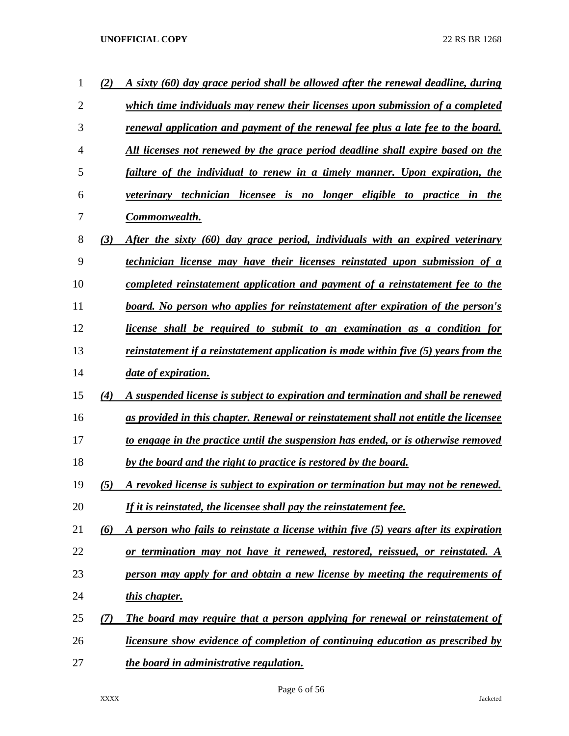| 1              | (2) | A sixty (60) day grace period shall be allowed after the renewal deadline, during      |
|----------------|-----|----------------------------------------------------------------------------------------|
| $\overline{2}$ |     | which time individuals may renew their licenses upon submission of a completed         |
| 3              |     | renewal application and payment of the renewal fee plus a late fee to the board.       |
| 4              |     | All licenses not renewed by the grace period deadline shall expire based on the        |
| 5              |     | failure of the individual to renew in a timely manner. Upon expiration, the            |
| 6              |     | veterinary technician licensee is no longer eligible to practice<br>in the             |
| 7              |     | <u>Commonwealth.</u>                                                                   |
| 8              | (3) | After the sixty (60) day grace period, individuals with an expired veterinary          |
| 9              |     | <u>technician license may have their licenses reinstated upon submission of a</u>      |
| 10             |     | <u>completed reinstatement application and payment of a reinstatement fee to the</u>   |
| 11             |     | <u>board. No person who applies for reinstatement after expiration of the person's</u> |
| 12             |     | license shall be required to submit to an examination as a condition for               |
| 13             |     | reinstatement if a reinstatement application is made within five (5) years from the    |
| 14             |     | <i>date of expiration.</i>                                                             |
| 15             | (4) | A suspended license is subject to expiration and termination and shall be renewed      |
| 16             |     | as provided in this chapter. Renewal or reinstatement shall not entitle the licensee   |
| 17             |     | to engage in the practice until the suspension has ended, or is otherwise removed      |
| 18             |     | by the board and the right to practice is restored by the board.                       |
| 19             | (5) | A revoked license is subject to expiration or termination but may not be renewed.      |
| 20             |     | <u>If it is reinstated, the licensee shall pay the reinstatement fee.</u>              |
| 21             | (6) | A person who fails to reinstate a license within five (5) years after its expiration   |
| 22             |     | or termination may not have it renewed, restored, reissued, or reinstated. A           |
| 23             |     | person may apply for and obtain a new license by meeting the requirements of           |
| 24             |     | this chapter.                                                                          |
| 25             | (7) | The board may require that a person applying for renewal or reinstatement of           |
| 26             |     | <u>licensure show evidence of completion of continuing education as prescribed by</u>  |
| 27             |     | the board in administrative regulation.                                                |

Page 6 of 56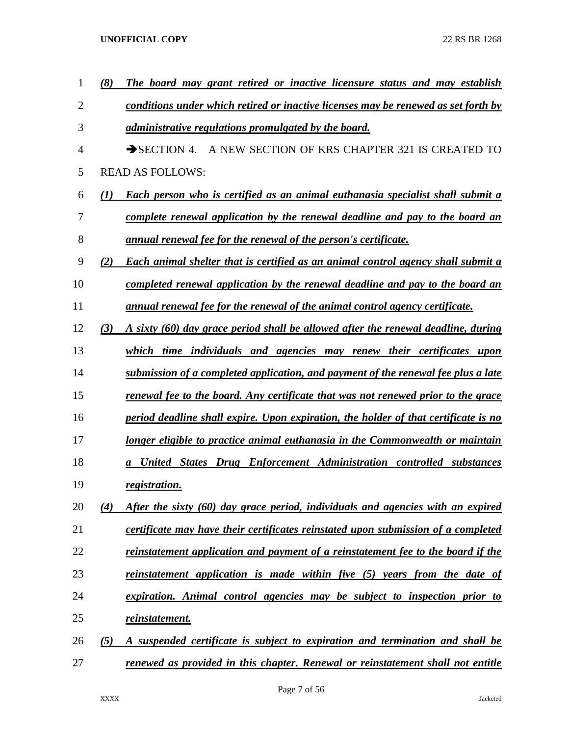| 1  | (8) | The board may grant retired or inactive licensure status and may establish          |
|----|-----|-------------------------------------------------------------------------------------|
| 2  |     | conditions under which retired or inactive licenses may be renewed as set forth by  |
| 3  |     | <i>administrative regulations promulgated by the board.</i>                         |
| 4  |     | A NEW SECTION OF KRS CHAPTER 321 IS CREATED TO<br>$\rightarrow$ SECTION 4.          |
| 5  |     | <b>READ AS FOLLOWS:</b>                                                             |
| 6  | (I) | Each person who is certified as an animal euthanasia specialist shall submit a      |
| 7  |     | complete renewal application by the renewal deadline and pay to the board an        |
| 8  |     | <u>annual renewal fee for the renewal of the person's certificate.</u>              |
| 9  | (2) | Each animal shelter that is certified as an animal control agency shall submit a    |
| 10 |     | completed renewal application by the renewal deadline and pay to the board an       |
| 11 |     | annual renewal fee for the renewal of the animal control agency certificate.        |
| 12 | (3) | A sixty (60) day grace period shall be allowed after the renewal deadline, during   |
| 13 |     | which time individuals and agencies may renew their certificates upon               |
| 14 |     | submission of a completed application, and payment of the renewal fee plus a late   |
| 15 |     | renewal fee to the board. Any certificate that was not renewed prior to the grace   |
| 16 |     | period deadline shall expire. Upon expiration, the holder of that certificate is no |
| 17 |     | longer eligible to practice animal euthanasia in the Commonwealth or maintain       |
| 18 |     | <b>United States Drug Enforcement Administration controlled substances</b>          |
| 19 |     | registration.                                                                       |
| 20 | (4) | After the sixty (60) day grace period, individuals and agencies with an expired     |
| 21 |     | certificate may have their certificates reinstated upon submission of a completed   |
| 22 |     | reinstatement application and payment of a reinstatement fee to the board if the    |
| 23 |     | reinstatement application is made within five (5) years from the date of            |
| 24 |     | expiration. Animal control agencies may be subject to inspection prior to           |
| 25 |     | <u>reinstatement.</u>                                                               |
| 26 | (5) | A suspended certificate is subject to expiration and termination and shall be       |
| 27 |     | renewed as provided in this chapter. Renewal or reinstatement shall not entitle     |

Page 7 of 56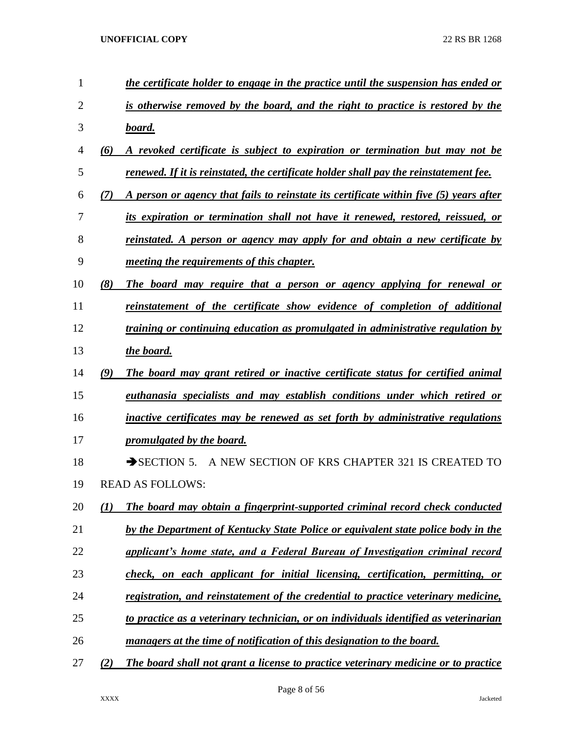| $\mathbf{1}$ |     | the certificate holder to engage in the practice until the suspension has ended or     |
|--------------|-----|----------------------------------------------------------------------------------------|
| 2            |     | is otherwise removed by the board, and the right to practice is restored by the        |
| 3            |     | <u>board.</u>                                                                          |
| 4            | (6) | A revoked certificate is subject to expiration or termination but may not be           |
| 5            |     | renewed. If it is reinstated, the certificate holder shall pay the reinstatement fee.  |
| 6            | (7) | A person or agency that fails to reinstate its certificate within five (5) years after |
| 7            |     | its expiration or termination shall not have it renewed, restored, reissued, or        |
| 8            |     | <u>reinstated. A person or agency may apply for and obtain a new certificate by</u>    |
| 9            |     | <i>meeting the requirements of this chapter.</i>                                       |
| 10           | (8) | The board may require that a person or agency applying for renewal or                  |
| 11           |     | reinstatement of the certificate show evidence of completion of additional             |
| 12           |     | <i>training or continuing education as promulgated in administrative regulation by</i> |
| 13           |     | the board.                                                                             |
| 14           | (9) | The board may grant retired or inactive certificate status for certified animal        |
| 15           |     | euthanasia specialists and may establish conditions under which retired or             |
| 16           |     | inactive certificates may be renewed as set forth by administrative regulations        |
| 17           |     | promulgated by the board.                                                              |
| 18           |     | A NEW SECTION OF KRS CHAPTER 321 IS CREATED TO<br>$\rightarrow$ SECTION 5.             |
| 19           |     | <b>READ AS FOLLOWS:</b>                                                                |
| 20           | (1) | The board may obtain a fingerprint-supported criminal record check conducted           |
| 21           |     | by the Department of Kentucky State Police or equivalent state police body in the      |
| 22           |     | applicant's home state, and a Federal Bureau of Investigation criminal record          |
| 23           |     | check, on each applicant for initial licensing, certification, permitting, or          |
| 24           |     | registration, and reinstatement of the credential to practice veterinary medicine,     |
| 25           |     | to practice as a veterinary technician, or on individuals identified as veterinarian   |
| 26           |     | managers at the time of notification of this designation to the board.                 |
| 27           | (2) | The board shall not grant a license to practice veterinary medicine or to practice     |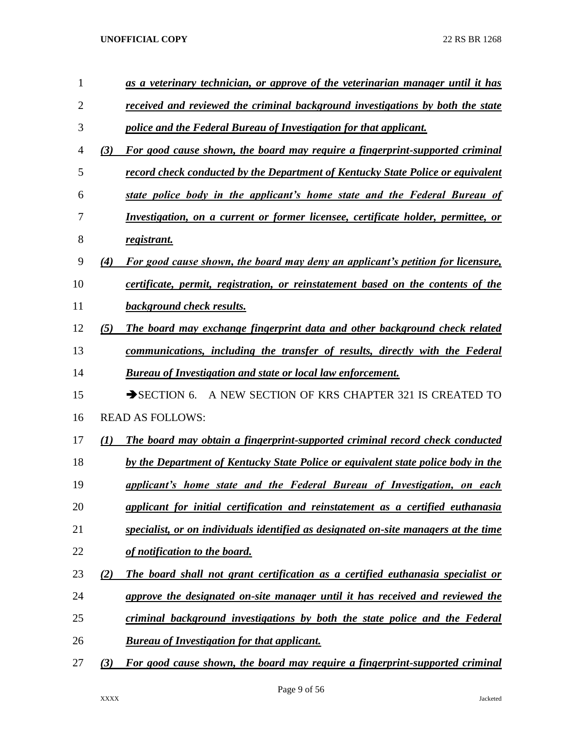| $\mathbf{1}$   |     | as a veterinary technician, or approve of the veterinarian manager until it has     |
|----------------|-----|-------------------------------------------------------------------------------------|
| $\overline{2}$ |     | received and reviewed the criminal background investigations by both the state      |
| 3              |     | police and the Federal Bureau of Investigation for that applicant.                  |
| 4              | (3) | For good cause shown, the board may require a fingerprint-supported criminal        |
| 5              |     | record check conducted by the Department of Kentucky State Police or equivalent     |
| 6              |     | state police body in the applicant's home state and the Federal Bureau of           |
| 7              |     | Investigation, on a current or former licensee, certificate holder, permittee, or   |
| 8              |     | registrant.                                                                         |
| 9              | (4) | For good cause shown, the board may deny an applicant's petition for licensure,     |
| 10             |     | certificate, permit, registration, or reinstatement based on the contents of the    |
| 11             |     | <b>background check results.</b>                                                    |
| 12             | (5) | The board may exchange fingerprint data and other background check related          |
| 13             |     | communications, including the transfer of results, directly with the Federal        |
| 14             |     | <b>Bureau of Investigation and state or local law enforcement.</b>                  |
| 15             |     | A NEW SECTION OF KRS CHAPTER 321 IS CREATED TO<br>$\rightarrow$ SECTION 6.          |
| 16             |     | <b>READ AS FOLLOWS:</b>                                                             |
| 17             | (1) | The board may obtain a fingerprint-supported criminal record check conducted        |
| 18             |     | by the Department of Kentucky State Police or equivalent state police body in the   |
| 19             |     | applicant's home state and the Federal Bureau of Investigation, on each             |
| 20             |     | applicant for initial certification and reinstatement as a certified euthanasia     |
| 21             |     | specialist, or on individuals identified as designated on-site managers at the time |
| 22             |     | of notification to the board.                                                       |
| 23             | (2) | The board shall not grant certification as a certified euthanasia specialist or     |
| 24             |     | approve the designated on-site manager until it has received and reviewed the       |
| 25             |     | criminal background investigations by both the state police and the Federal         |
| 26             |     | <b>Bureau of Investigation for that applicant.</b>                                  |
| 27             | (3) | For good cause shown, the board may require a fingerprint-supported criminal        |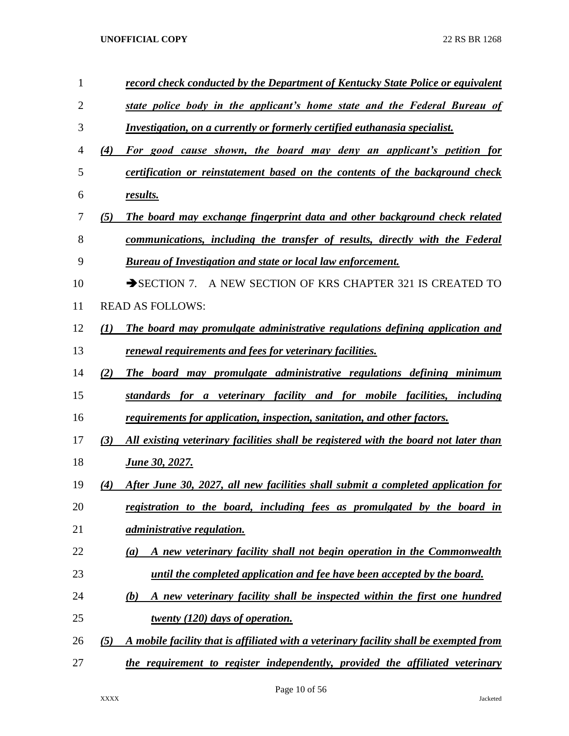| $\mathbf{1}$   |                  | record check conducted by the Department of Kentucky State Police or equivalent             |
|----------------|------------------|---------------------------------------------------------------------------------------------|
| $\overline{2}$ |                  | state police body in the applicant's home state and the Federal Bureau of                   |
| 3              |                  | Investigation, on a currently or formerly certified euthanasia specialist.                  |
| 4              | (4)              | For good cause shown, the board may deny an applicant's petition for                        |
| 5              |                  | certification or reinstatement based on the contents of the background check                |
| 6              |                  | results.                                                                                    |
| 7              | (5)              | The board may exchange fingerprint data and other background check related                  |
| 8              |                  | communications, including the transfer of results, directly with the Federal                |
| 9              |                  | <b>Bureau of Investigation and state or local law enforcement.</b>                          |
| 10             |                  | A NEW SECTION OF KRS CHAPTER 321 IS CREATED TO<br>$\rightarrow$ SECTION 7.                  |
| 11             |                  | <b>READ AS FOLLOWS:</b>                                                                     |
| 12             | $\mathcal{L}(I)$ | The board may promulgate administrative regulations defining application and                |
| 13             |                  | renewal requirements and fees for veterinary facilities.                                    |
| 14             | (2)              | The board may promulgate administrative regulations defining minimum                        |
| 15             |                  | standards for a veterinary facility and for mobile facilities, including                    |
| 16             |                  | requirements for application, inspection, sanitation, and other factors.                    |
| 17             | (3)              | All existing veterinary facilities shall be registered with the board not later than        |
| 18             |                  | <u>June 30, 2027.</u>                                                                       |
| 19             | (4)              | After June 30, 2027, all new facilities shall submit a completed application for            |
| 20             |                  | registration to the board, including fees as promulgated by the board in                    |
| 21             |                  | <i><u>administrative regulation.</u></i>                                                    |
| 22             |                  | A new veterinary facility shall not begin operation in the Commonwealth<br>$\left(a\right)$ |
| 23             |                  | until the completed application and fee have been accepted by the board.                    |
| 24             |                  | A new veterinary facility shall be inspected within the first one hundred<br>(b)            |
| 25             |                  | twenty (120) days of operation.                                                             |
| 26             | (5)              | A mobile facility that is affiliated with a veterinary facility shall be exempted from      |
| 27             |                  | the requirement to register independently, provided the affiliated veterinary               |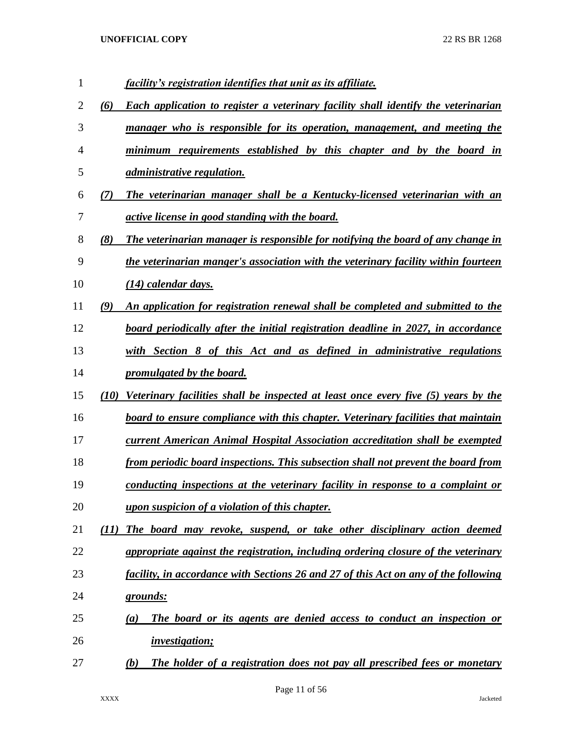| 1  |      | facility's registration identifies that unit as its affiliate.                            |
|----|------|-------------------------------------------------------------------------------------------|
| 2  | (6)  | <b>Each application to register a veterinary facility shall identify the veterinarian</b> |
| 3  |      | manager who is responsible for its operation, management, and meeting the                 |
| 4  |      | minimum requirements established by this chapter and by the board in                      |
| 5  |      | administrative regulation.                                                                |
| 6  | (7)  | The veterinarian manager shall be a Kentucky-licensed veterinarian with an                |
| 7  |      | <i>active license in good standing with the board.</i>                                    |
| 8  | (8)  | The veterinarian manager is responsible for notifying the board of any change in          |
| 9  |      | the veterinarian manger's association with the veterinary facility within fourteen        |
| 10 |      | $(14)$ calendar days.                                                                     |
| 11 | (9)  | An application for registration renewal shall be completed and submitted to the           |
| 12 |      | board periodically after the initial registration deadline in 2027, in accordance         |
| 13 |      | with Section 8 of this Act and as defined in administrative regulations                   |
| 14 |      | promulgated by the board.                                                                 |
| 15 | (10) | Veterinary facilities shall be inspected at least once every five (5) years by the        |
| 16 |      | board to ensure compliance with this chapter. Veterinary facilities that maintain         |
| 17 |      | current American Animal Hospital Association accreditation shall be exempted              |
| 18 |      | <u>from periodic board inspections. This subsection shall not prevent the board from</u>  |
| 19 |      | conducting inspections at the veterinary facility in response to a complaint or           |
| 20 |      | upon suspicion of a violation of this chapter.                                            |
| 21 | (11) | The board may revoke, suspend, or take other disciplinary action deemed                   |
| 22 |      | appropriate against the registration, including ordering closure of the veterinary        |
| 23 |      | facility, in accordance with Sections 26 and 27 of this Act on any of the following       |
| 24 |      | <u>grounds:</u>                                                                           |
| 25 |      | The board or its agents are denied access to conduct an inspection or<br>$\left(a\right)$ |
| 26 |      | <i>investigation;</i>                                                                     |
| 27 |      | The holder of a registration does not pay all prescribed fees or monetary<br>(b)          |

Page 11 of 56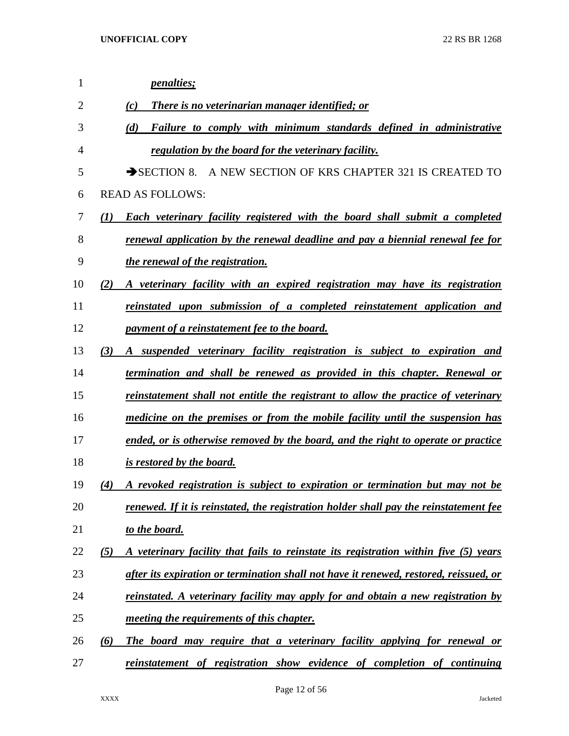| $\mathbf{1}$ | <i>penalties;</i>                                                                                      |
|--------------|--------------------------------------------------------------------------------------------------------|
| 2            | <b>There is no veterinarian manager identified; or</b><br>(c)                                          |
| 3            | (d)<br>Failure to comply with minimum standards defined in administrative                              |
| 4            | regulation by the board for the veterinary facility.                                                   |
| 5            | SECTION 8. A NEW SECTION OF KRS CHAPTER 321 IS CREATED TO                                              |
| 6            | <b>READ AS FOLLOWS:</b>                                                                                |
| 7            | $\mathcal{L}(I)$<br><b>Each veterinary facility registered with the board shall submit a completed</b> |
| 8            | renewal application by the renewal deadline and pay a biennial renewal fee for                         |
| 9            | the renewal of the registration.                                                                       |
| 10           | A veterinary facility with an expired registration may have its registration<br>(2)                    |
| 11           | reinstated upon submission of a completed reinstatement application and                                |
| 12           | <i>payment of a reinstatement fee to the board.</i>                                                    |
| 13           | (3)<br>A suspended veterinary facility registration is subject to expiration and                       |
| 14           | termination and shall be renewed as provided in this chapter. Renewal or                               |
| 15           | reinstatement shall not entitle the registrant to allow the practice of veterinary                     |
| 16           | medicine on the premises or from the mobile facility until the suspension has                          |
| 17           | ended, or is otherwise removed by the board, and the right to operate or practice                      |
| 18           | <i>is restored by the board.</i>                                                                       |
| 19           | (4)<br>A revoked registration is subject to expiration or termination but may not be                   |
| 20           | renewed. If it is reinstated, the registration holder shall pay the reinstatement fee                  |
| 21           | to the board.                                                                                          |
| 22           | A veterinary facility that fails to reinstate its registration within five (5) years<br>(5)            |
| 23           | after its expiration or termination shall not have it renewed, restored, reissued, or                  |
| 24           | <u>reinstated. A veterinary facility may apply for and obtain a new registration by</u>                |
| 25           | <i>meeting the requirements of this chapter.</i>                                                       |
| 26           | The board may require that a veterinary facility applying for renewal or<br>(6)                        |
| 27           | reinstatement of registration show evidence of completion of continuing                                |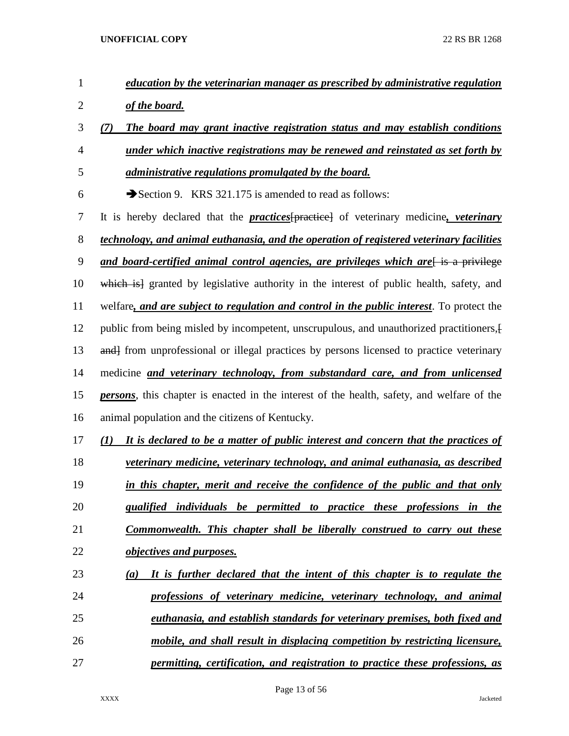| $\mathbf{1}$   | education by the veterinarian manager as prescribed by administrative regulation                       |
|----------------|--------------------------------------------------------------------------------------------------------|
| $\overline{2}$ | of the board.                                                                                          |
| 3              | The board may grant inactive registration status and may establish conditions<br>(7)                   |
| 4              | under which inactive registrations may be renewed and reinstated as set forth by                       |
| 5              | <i>administrative regulations promulgated by the board.</i>                                            |
| 6              | Section 9. KRS 321.175 is amended to read as follows:                                                  |
| 7              | It is hereby declared that the <b>practices</b> [practice] of veterinary medicine, <i>veterinary</i>   |
| 8              | technology, and animal euthanasia, and the operation of registered veterinary facilities               |
| 9              | and board-certified animal control agencies, are privileges which are is a privilege                   |
| 10             | which is granted by legislative authority in the interest of public health, safety, and                |
| 11             | welfare, and are subject to regulation and control in the public interest. To protect the              |
| 12             | public from being misled by incompetent, unscrupulous, and unauthorized practitioners, {               |
| 13             | and from unprofessional or illegal practices by persons licensed to practice veterinary                |
| 14             | medicine and veterinary technology, from substandard care, and from unlicensed                         |
| 15             | <i>persons</i> , this chapter is enacted in the interest of the health, safety, and welfare of the     |
| 16             | animal population and the citizens of Kentucky.                                                        |
| 17             | It is declared to be a matter of public interest and concern that the practices of<br>$\mathcal{L}(I)$ |
| 18             | veterinary medicine, veterinary technology, and animal euthanasia, as described                        |
| 19             | in this chapter, merit and receive the confidence of the public and that only                          |
| 20             | qualified individuals be permitted to practice these professions in the                                |
| 21             | Commonwealth. This chapter shall be liberally construed to carry out these                             |
| 22             | objectives and purposes.                                                                               |
| 23             | It is further declared that the intent of this chapter is to regulate the<br>(a)                       |
| 24             | professions of veterinary medicine, veterinary technology, and animal                                  |
| 25             | <u>euthanasia, and establish standards for veterinary premises, both fixed and</u>                     |
| 26             | mobile, and shall result in displacing competition by restricting licensure,                           |
| 27             | permitting, certification, and registration to practice these professions, as                          |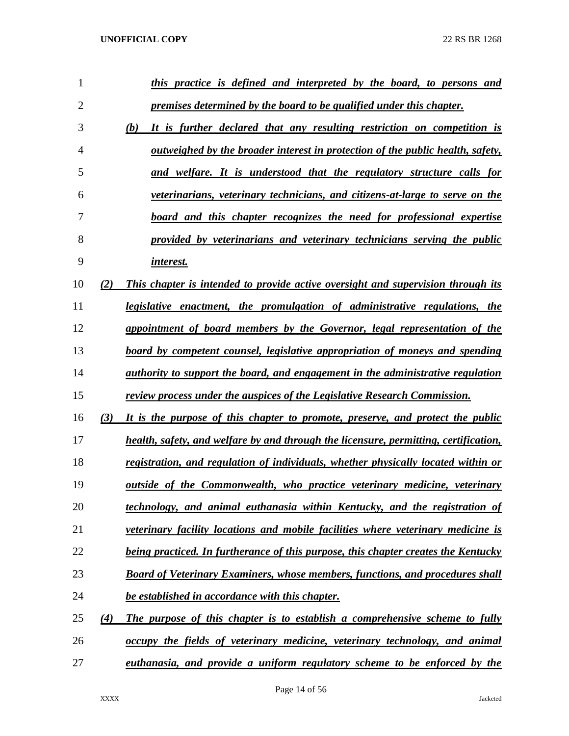| 1              |     | this practice is defined and interpreted by the board, to persons and                  |
|----------------|-----|----------------------------------------------------------------------------------------|
| $\overline{2}$ |     | premises determined by the board to be qualified under this chapter.                   |
| 3              |     | (b)<br>It is further declared that any resulting restriction on competition is         |
| $\overline{4}$ |     | outweighed by the broader interest in protection of the public health, safety,         |
| 5              |     | and welfare. It is understood that the regulatory structure calls for                  |
| 6              |     | veterinarians, veterinary technicians, and citizens-at-large to serve on the           |
| 7              |     | board and this chapter recognizes the need for professional expertise                  |
| 8              |     | provided by veterinarians and veterinary technicians serving the public                |
| 9              |     | interest.                                                                              |
| 10             | (2) | This chapter is intended to provide active oversight and supervision through its       |
| 11             |     | legislative enactment, the promulgation of administrative regulations, the             |
| 12             |     | appointment of board members by the Governor, legal representation of the              |
| 13             |     | board by competent counsel, legislative appropriation of moneys and spending           |
| 14             |     | <i>authority to support the board, and engagement in the administrative regulation</i> |
| 15             |     | review process under the auspices of the Legislative Research Commission.              |
| 16             | (3) | It is the purpose of this chapter to promote, preserve, and protect the public         |
| 17             |     | health, safety, and welfare by and through the licensure, permitting, certification,   |
| 18             |     | registration, and regulation of individuals, whether physically located within or      |
| 19             |     | outside of the Commonwealth, who practice veterinary medicine, veterinary              |
| 20             |     | technology, and animal euthanasia within Kentucky, and the registration of             |
| 21             |     | veterinary facility locations and mobile facilities where veterinary medicine is       |
| 22             |     | being practiced. In furtherance of this purpose, this chapter creates the Kentucky     |
| 23             |     | <b>Board of Veterinary Examiners, whose members, functions, and procedures shall</b>   |
| 24             |     | be established in accordance with this chapter.                                        |
| 25             | (4) | The purpose of this chapter is to establish a comprehensive scheme to fully            |
| 26             |     | occupy the fields of veterinary medicine, veterinary technology, and animal            |
| 27             |     | euthanasia, and provide a uniform regulatory scheme to be enforced by the              |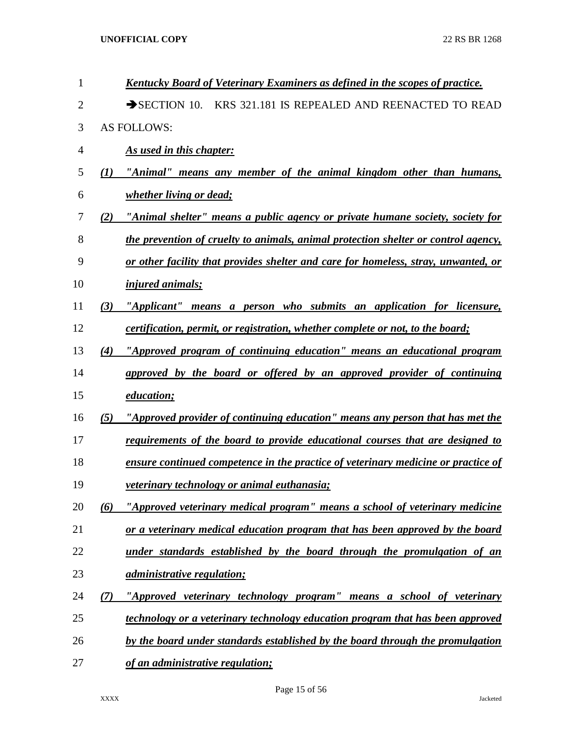| $\mathbf{1}$   |     | Kentucky Board of Veterinary Examiners as defined in the scopes of practice.       |
|----------------|-----|------------------------------------------------------------------------------------|
| $\overline{2}$ |     | $\rightarrow$ SECTION 10.<br>KRS 321.181 IS REPEALED AND REENACTED TO READ         |
| 3              |     | <b>AS FOLLOWS:</b>                                                                 |
| 4              |     | As used in this chapter:                                                           |
| 5              | (I) | "Animal" means any member of the animal kingdom other than humans,                 |
| 6              |     | <i>whether living or dead;</i>                                                     |
| 7              | (2) | "Animal shelter" means a public agency or private humane society, society for      |
| 8              |     | the prevention of cruelty to animals, animal protection shelter or control agency, |
| 9              |     | or other facility that provides shelter and care for homeless, stray, unwanted, or |
| 10             |     | <i>injured animals;</i>                                                            |
| 11             | (3) | "Applicant" means a person who submits an application for licensure,               |
| 12             |     | certification, permit, or registration, whether complete or not, to the board;     |
| 13             | (4) | "Approved program of continuing education" means an educational program            |
| 14             |     | approved by the board or offered by an approved provider of continuing             |
| 15             |     | education;                                                                         |
| 16             | (5) | "Approved provider of continuing education" means any person that has met the      |
| 17             |     | requirements of the board to provide educational courses that are designed to      |
| 18             |     | ensure continued competence in the practice of veterinary medicine or practice of  |
| 19             |     | <i>veterinary technology or animal euthanasia;</i>                                 |
| 20             | (6) | "Approved veterinary medical program" means a school of veterinary medicine        |
| 21             |     | or a veterinary medical education program that has been approved by the board      |
| 22             |     | under standards established by the board through the promulgation of an            |
| 23             |     | <i><u>administrative regulation;</u></i>                                           |
| 24             | (7) | "Approved veterinary technology program" means a school of veterinary              |
| 25             |     | technology or a veterinary technology education program that has been approved     |
| 26             |     | by the board under standards established by the board through the promulgation     |
| 27             |     | of an administrative regulation;                                                   |
|                |     |                                                                                    |

Page 15 of 56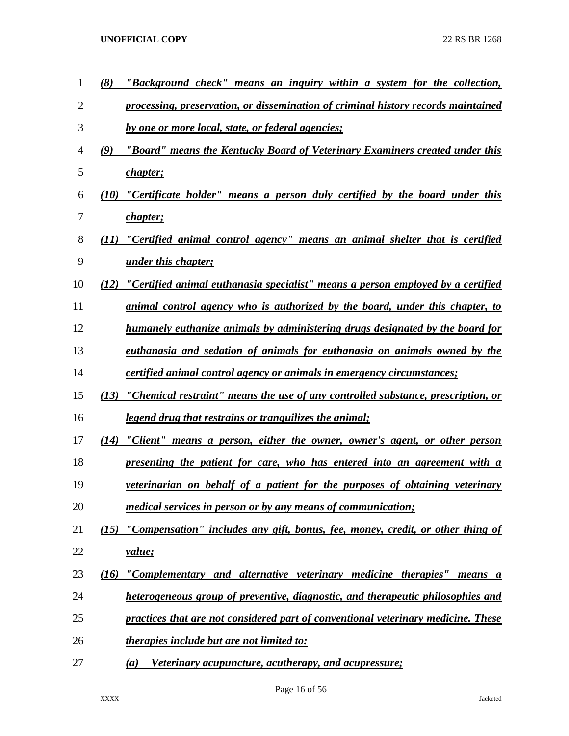| 1              | (8)  | "Background check" means an inquiry within a system for the collection,           |
|----------------|------|-----------------------------------------------------------------------------------|
| $\overline{2}$ |      | processing, preservation, or dissemination of criminal history records maintained |
| 3              |      | by one or more local, state, or federal agencies;                                 |
| 4              | (9)  | "Board" means the Kentucky Board of Veterinary Examiners created under this       |
| 5              |      | <i>chapter</i> ;                                                                  |
| 6              | (10) | "Certificate holder" means a person duly certified by the board under this        |
| 7              |      | <i>chapter</i> ;                                                                  |
| 8              | (11) | "Certified animal control agency" means an animal shelter that is certified       |
| 9              |      | <i><u>under this chapter;</u></i>                                                 |
| 10             | (12) | "Certified animal euthanasia specialist" means a person employed by a certified   |
| 11             |      | animal control agency who is authorized by the board, under this chapter, to      |
| 12             |      | humanely euthanize animals by administering drugs designated by the board for     |
| 13             |      | euthanasia and sedation of animals for euthanasia on animals owned by the         |
| 14             |      | <i>certified animal control agency or animals in emergency circumstances;</i>     |
| 15             | (13) | "Chemical restraint" means the use of any controlled substance, prescription, or  |
| 16             |      | <u>legend drug that restrains or tranquilizes the animal;</u>                     |
| 17             | (14) | "Client" means a person, either the owner, owner's agent, or other person         |
| 18             |      | <u>presenting the patient for care, who has entered into an agreement with a</u>  |
| 19             |      | veterinarian on behalf of a patient for the purposes of obtaining veterinary      |
| 20             |      | medical services in person or by any means of communication;                      |
| 21             | (15) | "Compensation" includes any gift, bonus, fee, money, credit, or other thing of    |
| 22             |      | value;                                                                            |
| 23             | (16) | "Complementary and alternative veterinary medicine therapies" means a             |
| 24             |      | heterogeneous group of preventive, diagnostic, and therapeutic philosophies and   |
| 25             |      | practices that are not considered part of conventional veterinary medicine. These |
| 26             |      | <i><u><b>therapies include but are not limited to:</b></u></i>                    |
| 27             |      | <i>Veterinary acupuncture, acutherapy, and acupressure;</i><br>(a)                |

Page 16 of 56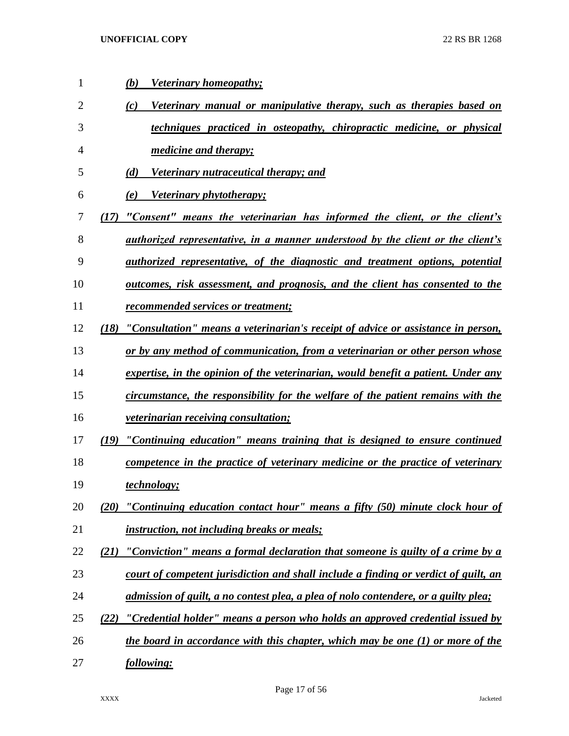| 1  | <b>Veterinary homeopathy;</b><br>(b)                                                     |
|----|------------------------------------------------------------------------------------------|
| 2  | Veterinary manual or manipulative therapy, such as therapies based on<br>(c)             |
| 3  | techniques practiced in osteopathy, chiropractic medicine, or physical                   |
| 4  | <i>medicine and therapy;</i>                                                             |
| 5  | Veterinary nutraceutical therapy; and<br>(d)                                             |
| 6  | Veterinary phytotherapy;<br>(e)                                                          |
| 7  | "Consent" means the veterinarian has informed the client, or the client's<br>(17)        |
| 8  | <u>authorized representative, in a manner understood by the client or the client's</u>   |
| 9  | <i>authorized representative, of the diagnostic and treatment options, potential</i>     |
| 10 | <u>outcomes, risk assessment, and prognosis, and the client has consented to the</u>     |
| 11 | recommended services or treatment;                                                       |
| 12 | "Consultation" means a veterinarian's receipt of advice or assistance in person,<br>(18) |
| 13 | or by any method of communication, from a veterinarian or other person whose             |
| 14 | expertise, in the opinion of the veterinarian, would benefit a patient. Under any        |
| 15 | circumstance, the responsibility for the welfare of the patient remains with the         |
| 16 | <i>veterinarian receiving consultation;</i>                                              |
| 17 | (19) "Continuing education" means training that is designed to ensure continued          |
| 18 | competence in the practice of veterinary medicine or the practice of veterinary          |
| 19 | <i>technology</i> ;                                                                      |
| 20 | "Continuing education contact hour" means a fifty (50) minute clock hour of<br>(20)      |
| 21 | <i>instruction, not including breaks or meals;</i>                                       |
| 22 | "Conviction" means a formal declaration that someone is guilty of a crime by a<br>(21)   |
| 23 | court of competent jurisdiction and shall include a finding or verdict of guilt, an      |
| 24 | admission of guilt, a no contest plea, a plea of nolo contendere, or a guilty plea;      |
| 25 | "Credential holder" means a person who holds an approved credential issued by<br>(22)    |
| 26 | the board in accordance with this chapter, which may be one (1) or more of the           |
| 27 | following:                                                                               |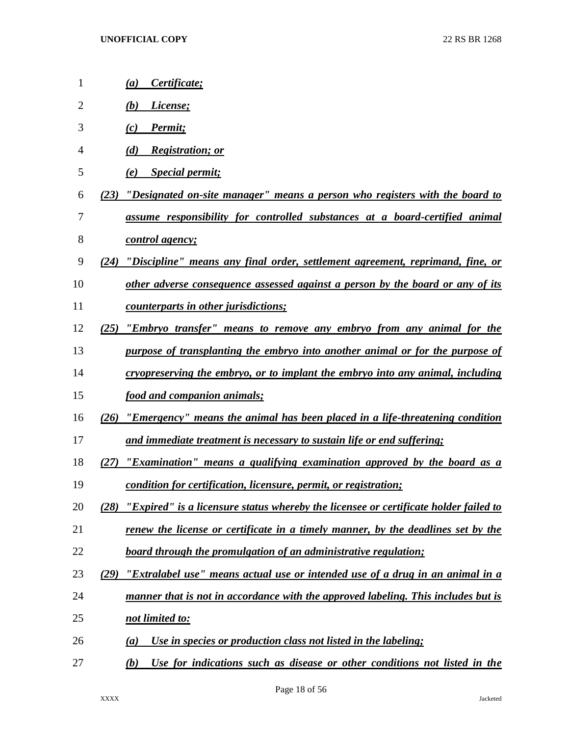| 1  | Certificate;<br>(a)                                                                          |
|----|----------------------------------------------------------------------------------------------|
| 2  | License;<br>(b)                                                                              |
| 3  | Permit;<br>(c)                                                                               |
| 4  | <b>Registration; or</b><br>(d)                                                               |
| 5  | <b>Special permit;</b><br>(e)                                                                |
| 6  | <u>"Designated on-site manager" means a person who registers with the board to</u><br>(23)   |
| 7  | assume responsibility for controlled substances at a board-certified animal                  |
| 8  | <u>control agency;</u>                                                                       |
| 9  | "Discipline" means any final order, settlement agreement, reprimand, fine, or<br>(24)        |
| 10 | other adverse consequence assessed against a person by the board or any of its               |
| 11 | <i>counterparts in other jurisdictions;</i>                                                  |
| 12 | "Embryo transfer" means to remove any embryo from any animal for the<br>(25)                 |
| 13 | purpose of transplanting the embryo into another animal or for the purpose of                |
| 14 | <u>cryopreserving the embryo, or to implant the embryo into any animal, including</u>        |
| 15 | <u>food and companion animals;</u>                                                           |
| 16 | <u>"Emergency" means the animal has been placed in a life-threatening condition</u><br>(26)  |
| 17 | and immediate treatment is necessary to sustain life or end suffering;                       |
| 18 | <u>"Examination" means a qualifying examination approved by the board as a</u><br>(27)       |
| 19 | condition for certification, licensure, permit, or registration;                             |
| 20 | "Expired" is a licensure status whereby the licensee or certificate holder failed to<br>(28) |
| 21 | renew the license or certificate in a timely manner, by the deadlines set by the             |
| 22 | board through the promulgation of an administrative regulation;                              |
| 23 | <u>"Extralabel use" means actual use or intended use of a drug in an animal in a</u><br>(29) |
| 24 | manner that is not in accordance with the approved labeling. This includes but is            |
| 25 | <u>not limited to:</u>                                                                       |
| 26 | Use in species or production class not listed in the labeling;<br>(a)                        |
| 27 | Use for indications such as disease or other conditions not listed in the<br>(b)             |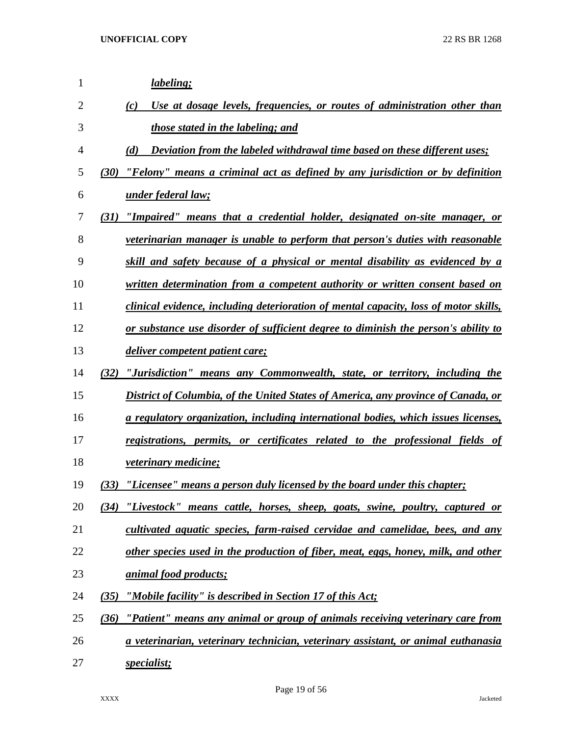| $\mathbf{1}$   | <i>labeling;</i>                                                                      |
|----------------|---------------------------------------------------------------------------------------|
| $\overline{2}$ | Use at dosage levels, frequencies, or routes of administration other than<br>(c)      |
| 3              | those stated in the labeling; and                                                     |
| 4              | (d)<br>Deviation from the labeled withdrawal time based on these different uses;      |
| 5              | "Felony" means a criminal act as defined by any jurisdiction or by definition<br>(30) |
| 6              | under federal law;                                                                    |
| 7              | "Impaired" means that a credential holder, designated on-site manager, or<br>(31)     |
| 8              | <i>veterinarian manager is unable to perform that person's duties with reasonable</i> |
| 9              | skill and safety because of a physical or mental disability as evidenced by a         |
| 10             | written determination from a competent authority or written consent based on          |
| 11             | clinical evidence, including deterioration of mental capacity, loss of motor skills,  |
| 12             | or substance use disorder of sufficient degree to diminish the person's ability to    |
| 13             | <i>deliver competent patient care;</i>                                                |
| 14             | "Jurisdiction" means any Commonwealth, state, or territory, including the<br>(32)     |
| 15             | District of Columbia, of the United States of America, any province of Canada, or     |
| 16             | a regulatory organization, including international bodies, which issues licenses,     |
| 17             | registrations, permits, or certificates related to the professional fields of         |
| 18             | <i>veterinary medicine;</i>                                                           |
| 19             | "Licensee" means a person duly licensed by the board under this chapter;<br>(33)      |
| 20             | "Livestock" means cattle, horses, sheep, goats, swine, poultry, captured or<br>(34)   |
| 21             | cultivated aquatic species, farm-raised cervidae and camelidae, bees, and any         |
| 22             | other species used in the production of fiber, meat, eggs, honey, milk, and other     |
| 23             | <i><u><b>animal food products;</b></u></i>                                            |
| 24             | (35)<br>"Mobile facility" is described in Section 17 of this Act;                     |
| 25             | "Patient" means any animal or group of animals receiving veterinary care from<br>(36) |
| 26             | a veterinarian, veterinary technician, veterinary assistant, or animal euthanasia     |
| 27             | <i>specialist;</i>                                                                    |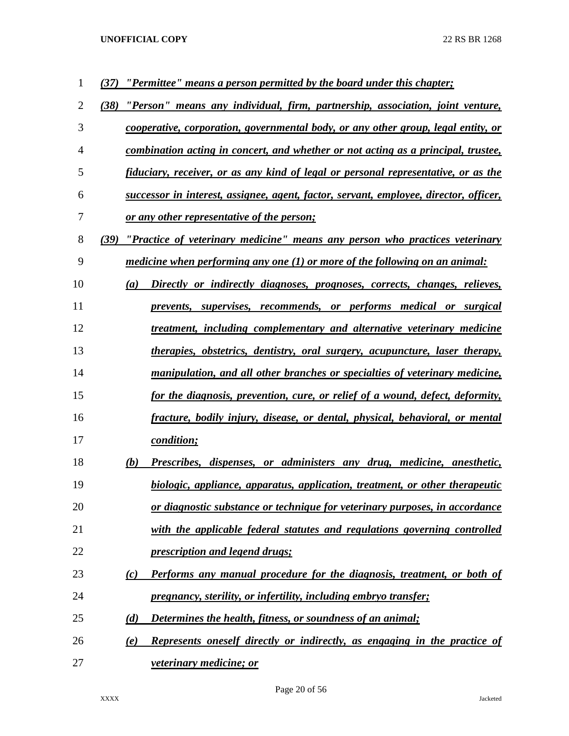| 1              | "Permittee" means a person permitted by the board under this chapter;<br>(37)         |
|----------------|---------------------------------------------------------------------------------------|
| $\overline{2}$ | "Person" means any individual, firm, partnership, association, joint venture,<br>(38) |
| 3              | cooperative, corporation, governmental body, or any other group, legal entity, or     |
| 4              | combination acting in concert, and whether or not acting as a principal, trustee,     |
| 5              | fiduciary, receiver, or as any kind of legal or personal representative, or as the    |
| 6              | successor in interest, assignee, agent, factor, servant, employee, director, officer, |
| 7              | <u>or any other representative of the person;</u>                                     |
| 8              | "Practice of veterinary medicine" means any person who practices veterinary<br>(39)   |
| 9              | medicine when performing any one (1) or more of the following on an animal:           |
| 10             | Directly or indirectly diagnoses, prognoses, corrects, changes, relieves,<br>(a)      |
| 11             | prevents, supervises, recommends, or performs medical or surgical                     |
| 12             | treatment, including complementary and alternative veterinary medicine                |
| 13             | <u>therapies, obstetrics, dentistry, oral surgery, acupuncture, laser therapy,</u>    |
| 14             | manipulation, and all other branches or specialties of veterinary medicine,           |
| 15             | for the diagnosis, prevention, cure, or relief of a wound, defect, deformity,         |
| 16             | fracture, bodily injury, disease, or dental, physical, behavioral, or mental          |
| 17             | <i>condition;</i>                                                                     |
| 18             | Prescribes, dispenses, or administers any drug, medicine, anesthetic,<br>(b)          |
| 19             | biologic, appliance, apparatus, application, treatment, or other therapeutic          |
| 20             | or diagnostic substance or technique for veterinary purposes, in accordance           |
| 21             | with the applicable federal statutes and regulations governing controlled             |
| 22             | <i><u><b>prescription and legend drugs;</b></u></i>                                   |
| 23             | Performs any manual procedure for the diagnosis, treatment, or both of<br>(c)         |
| 24             | pregnancy, sterility, or infertility, including embryo transfer;                      |
| 25             | (d)<br>Determines the health, fitness, or soundness of an animal;                     |
| 26             | Represents oneself directly or indirectly, as engaging in the practice of<br>(e)      |
| 27             | veterinary medicine; or                                                               |

Page 20 of 56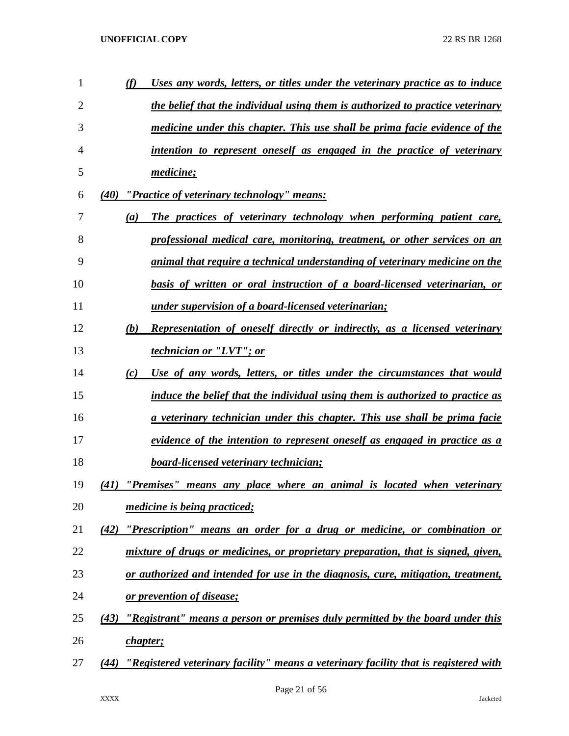| 1  | (f)  | Uses any words, letters, or titles under the veterinary practice as to induce        |
|----|------|--------------------------------------------------------------------------------------|
| 2  |      | the belief that the individual using them is authorized to practice veterinary       |
| 3  |      | medicine under this chapter. This use shall be prima facie evidence of the           |
| 4  |      | intention to represent oneself as engaged in the practice of veterinary              |
| 5  |      | medicine;                                                                            |
| 6  |      | (40) "Practice of veterinary technology" means:                                      |
| 7  | (a)  | The practices of veterinary technology when performing patient care,                 |
| 8  |      | professional medical care, monitoring, treatment, or other services on an            |
| 9  |      | animal that require a technical understanding of veterinary medicine on the          |
| 10 |      | basis of written or oral instruction of a board-licensed veterinarian, or            |
| 11 |      | under supervision of a board-licensed veterinarian;                                  |
| 12 | (b)  | <b>Representation of oneself directly or indirectly, as a licensed veterinary</b>    |
| 13 |      | <i>technician or "LVT"; or</i>                                                       |
| 14 | (c)  | Use of any words, letters, or titles under the circumstances that would              |
| 15 |      | induce the belief that the individual using them is authorized to practice as        |
| 16 |      | <u>a veterinary technician under this chapter. This use shall be prima facie</u>     |
| 17 |      | evidence of the intention to represent oneself as engaged in practice as a           |
| 18 |      | <b>board-licensed veterinary technician;</b>                                         |
| 19 |      | (41) "Premises" means any place where an animal is located when veterinary           |
| 20 |      | <i>medicine is being practiced;</i>                                                  |
| 21 | (42) | "Prescription" means an order for a drug or medicine, or combination or              |
| 22 |      | mixture of drugs or medicines, or proprietary preparation, that is signed, given,    |
| 23 |      | or authorized and intended for use in the diagnosis, cure, mitigation, treatment,    |
| 24 |      | or prevention of disease;                                                            |
| 25 | (43) | "Registrant" means a person or premises duly permitted by the board under this       |
| 26 |      | chapter;                                                                             |
| 27 | (44) | "Registered veterinary facility" means a veterinary facility that is registered with |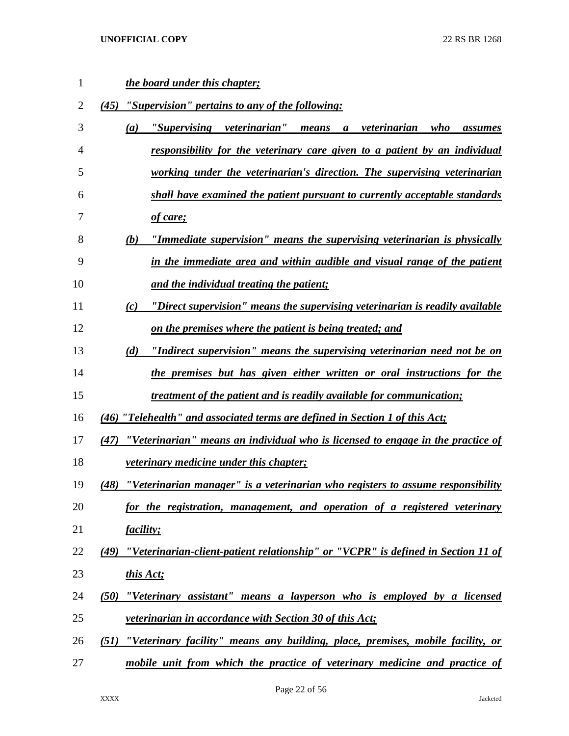| 1  | the board under this chapter;                                                                  |
|----|------------------------------------------------------------------------------------------------|
| 2  | "Supervision" pertains to any of the following:<br>(45)                                        |
| 3  | "Supervising veterinarian"<br><u>a veterinarian</u><br>(a)<br>means<br>who<br>assumes          |
| 4  | <u>responsibility for the veterinary care given to a patient by an individual</u>              |
| 5  | working under the veterinarian's direction. The supervising veterinarian                       |
| 6  | shall have examined the patient pursuant to currently acceptable standards                     |
| 7  | of care;                                                                                       |
| 8  | "Immediate supervision" means the supervising veterinarian is physically<br>(b)                |
| 9  | in the immediate area and within audible and visual range of the patient                       |
| 10 | <u>and the individual treating the patient;</u>                                                |
| 11 | "Direct supervision" means the supervising veterinarian is readily available<br>(c)            |
| 12 | <u>on the premises where the patient is being treated; and</u>                                 |
| 13 | "Indirect supervision" means the supervising veterinarian need not be on<br>(d)                |
| 14 | the premises but has given either written or oral instructions for the                         |
| 15 | <u>treatment of the patient and is readily available for communication;</u>                    |
| 16 | (46) "Telehealth" and associated terms are defined in Section 1 of this Act;                   |
| 17 | <u>"Veterinarian" means an individual who is licensed to engage in the practice of</u><br>(47) |
| 18 | <i>veterinary medicine under this chapter;</i>                                                 |
| 19 | "Veterinarian manager" is a veterinarian who registers to assume responsibility<br>(48)        |
| 20 | for the registration, management, and operation of a registered veterinary                     |
| 21 | <i>facility;</i>                                                                               |
| 22 | "Veterinarian-client-patient relationship" or "VCPR" is defined in Section 11 of<br>(49)       |
| 23 | this Act;                                                                                      |
| 24 | "Veterinary assistant" means a layperson who is employed by a licensed<br>(50)                 |
| 25 | veterinarian in accordance with Section 30 of this Act;                                        |
| 26 | "Veterinary facility" means any building, place, premises, mobile facility, or<br>(51)         |
| 27 | mobile unit from which the practice of veterinary medicine and practice of                     |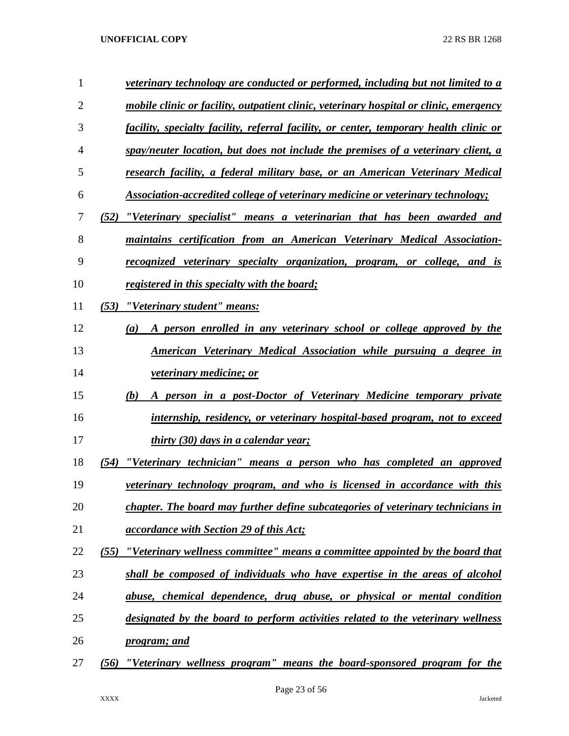| 1  | veterinary technology are conducted or performed, including but not limited to a       |
|----|----------------------------------------------------------------------------------------|
| 2  | mobile clinic or facility, outpatient clinic, veterinary hospital or clinic, emergency |
| 3  | facility, specialty facility, referral facility, or center, temporary health clinic or |
| 4  | spay/neuter location, but does not include the premises of a veterinary client, a      |
| 5  | research facility, a federal military base, or an American Veterinary Medical          |
| 6  | Association-accredited college of veterinary medicine or veterinary technology;        |
| 7  | "Veterinary specialist" means a veterinarian that has been awarded and<br>(52)         |
| 8  | maintains certification from an American Veterinary Medical Association-               |
| 9  | recognized veterinary specialty organization, program, or college, and is              |
| 10 | registered in this specialty with the board;                                           |
| 11 | (53)<br>"Veterinary student" means:                                                    |
| 12 | A person enrolled in any veterinary school or college approved by the<br>(a)           |
| 13 | American Veterinary Medical Association while pursuing a degree in                     |
| 14 | <i>veterinary medicine; or</i>                                                         |
| 15 | person in a post-Doctor of Veterinary Medicine temporary private<br>(b)                |
| 16 | internship, residency, or veterinary hospital-based program, not to exceed             |
| 17 | thirty (30) days in a calendar year;                                                   |
| 18 | "Veterinary technician" means a person who has completed an approved<br>(54)           |
| 19 | veterinary technology program, and who is licensed in accordance with this             |
| 20 | chapter. The board may further define subcategories of veterinary technicians in       |
| 21 | <i>accordance with Section 29 of this Act;</i>                                         |
| 22 | "Veterinary wellness committee" means a committee appointed by the board that<br>(55)  |
| 23 | shall be composed of individuals who have expertise in the areas of alcohol            |
| 24 | abuse, chemical dependence, drug abuse, or physical or mental condition                |
| 25 | designated by the board to perform activities related to the veterinary wellness       |
| 26 | <u>program; and</u>                                                                    |
| 27 | "Veterinary wellness program" means the board-sponsored program for the<br>(56)        |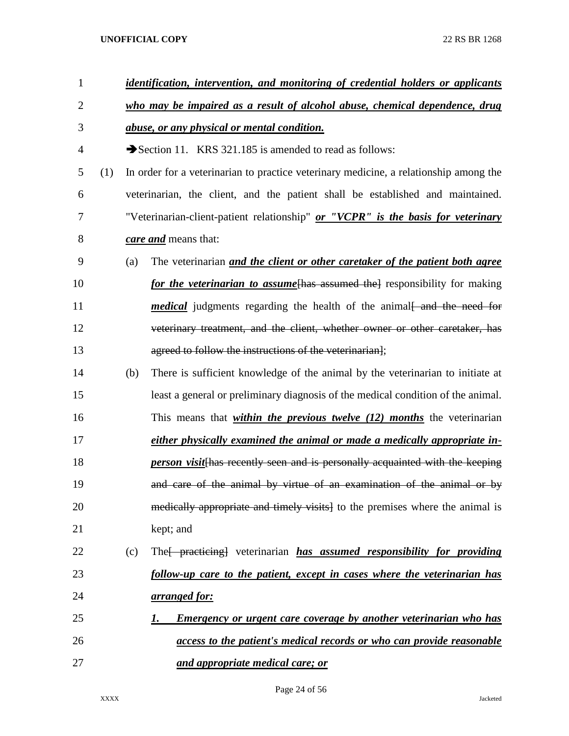| $\mathbf{1}$ |     | identification, intervention, and monitoring of credential holders or applicants |                                                                                       |  |  |  |  |
|--------------|-----|----------------------------------------------------------------------------------|---------------------------------------------------------------------------------------|--|--|--|--|
| 2            |     | who may be impaired as a result of alcohol abuse, chemical dependence, drug      |                                                                                       |  |  |  |  |
| 3            |     |                                                                                  | <i>abuse, or any physical or mental condition.</i>                                    |  |  |  |  |
| 4            |     |                                                                                  | Section 11. KRS 321.185 is amended to read as follows:                                |  |  |  |  |
| 5            | (1) |                                                                                  | In order for a veterinarian to practice veterinary medicine, a relationship among the |  |  |  |  |
| 6            |     |                                                                                  | veterinarian, the client, and the patient shall be established and maintained.        |  |  |  |  |
| 7            |     |                                                                                  | "Veterinarian-client-patient relationship" or "VCPR" is the basis for veterinary      |  |  |  |  |
| 8            |     |                                                                                  | care and means that:                                                                  |  |  |  |  |
| 9            |     | (a)                                                                              | The veterinarian <i>and the client or other caretaker of the patient both agree</i>   |  |  |  |  |
| 10           |     |                                                                                  | for the veterinarian to assume thas assumed the esponsibility for making              |  |  |  |  |
| 11           |     |                                                                                  | <i>medical</i> judgments regarding the health of the animal and the need for          |  |  |  |  |
| 12           |     |                                                                                  | veterinary treatment, and the client, whether owner or other caretaker, has           |  |  |  |  |
| 13           |     |                                                                                  | agreed to follow the instructions of the veterinarian];                               |  |  |  |  |
| 14           |     | (b)                                                                              | There is sufficient knowledge of the animal by the veterinarian to initiate at        |  |  |  |  |
| 15           |     |                                                                                  | least a general or preliminary diagnosis of the medical condition of the animal.      |  |  |  |  |
| 16           |     |                                                                                  | This means that <i>within the previous twelve (12) months</i> the veterinarian        |  |  |  |  |
| 17           |     |                                                                                  | either physically examined the animal or made a medically appropriate in-             |  |  |  |  |
| 18           |     |                                                                                  | <i>person visit</i> [has recently seen and is personally acquainted with the keeping  |  |  |  |  |
| 19           |     |                                                                                  | and care of the animal by virtue of an examination of the animal or by                |  |  |  |  |
| 20           |     |                                                                                  | medically appropriate and timely visits] to the premises where the animal is          |  |  |  |  |
| 21           |     |                                                                                  | kept; and                                                                             |  |  |  |  |
| 22           |     | (c)                                                                              | The <i>practicing</i> veterinarian <i>has assumed responsibility for providing</i>    |  |  |  |  |
| 23           |     |                                                                                  | follow-up care to the patient, except in cases where the veterinarian has             |  |  |  |  |
| 24           |     |                                                                                  | <u>arranged for:</u>                                                                  |  |  |  |  |
| 25           |     |                                                                                  | <u>Emergency or urgent care coverage by another veterinarian who has</u><br>1.        |  |  |  |  |
| 26           |     |                                                                                  | access to the patient's medical records or who can provide reasonable                 |  |  |  |  |
| 27           |     |                                                                                  | and appropriate medical care; or                                                      |  |  |  |  |

Page 24 of 56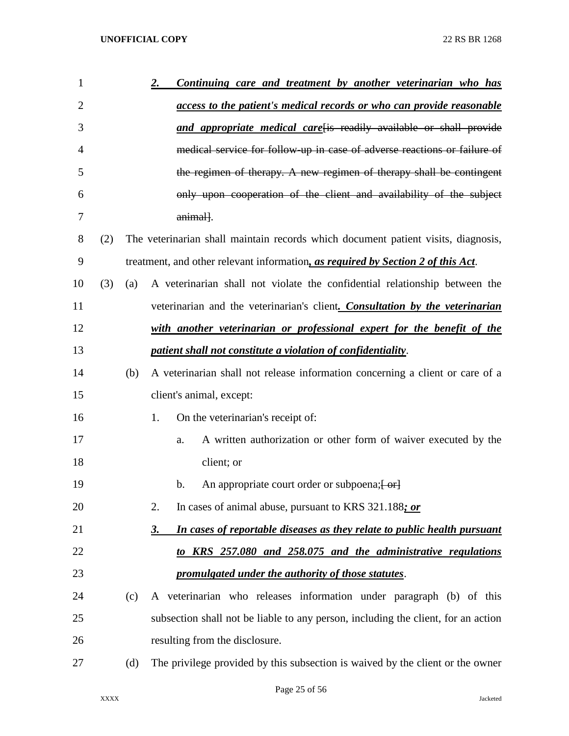| $\mathbf{1}$   |     |     | Continuing care and treatment by another veterinarian who has<br><u>2.</u>            |
|----------------|-----|-----|---------------------------------------------------------------------------------------|
| $\overline{2}$ |     |     | access to the patient's medical records or who can provide reasonable                 |
| 3              |     |     | and appropriate medical carefis readily available or shall provide                    |
| 4              |     |     | medical service for follow-up in case of adverse reactions or failure of              |
| 5              |     |     | the regimen of therapy. A new regimen of therapy shall be contingent                  |
| 6              |     |     | only upon cooperation of the client and availability of the subject                   |
| 7              |     |     | animal].                                                                              |
| 8              | (2) |     | The veterinarian shall maintain records which document patient visits, diagnosis,     |
| 9              |     |     | treatment, and other relevant information, as required by Section 2 of this Act.      |
| 10             | (3) | (a) | A veterinarian shall not violate the confidential relationship between the            |
| 11             |     |     | veterinarian and the veterinarian's client. Consultation by the veterinarian          |
| 12             |     |     | with another veterinarian or professional expert for the benefit of the               |
| 13             |     |     | patient shall not constitute a violation of confidentiality.                          |
| 14             |     | (b) | A veterinarian shall not release information concerning a client or care of a         |
| 15             |     |     | client's animal, except:                                                              |
| 16             |     |     | 1.<br>On the veterinarian's receipt of:                                               |
| 17             |     |     | A written authorization or other form of waiver executed by the<br>a.                 |
| 18             |     |     | client; or                                                                            |
| 19             |     |     | An appropriate court order or subpoena; [ or]<br>b.                                   |
| 20             |     |     | 2.<br>In cases of animal abuse, pursuant to KRS 321.188; or                           |
| 21             |     |     | In cases of reportable diseases as they relate to public health pursuant<br><u>3.</u> |
| 22             |     |     | to KRS 257.080 and 258.075 and the administrative regulations                         |
| 23             |     |     | promulgated under the authority of those statutes.                                    |
| 24             |     | (c) | A veterinarian who releases information under paragraph (b) of this                   |
| 25             |     |     | subsection shall not be liable to any person, including the client, for an action     |
| 26             |     |     | resulting from the disclosure.                                                        |
| 27             |     | (d) | The privilege provided by this subsection is waived by the client or the owner        |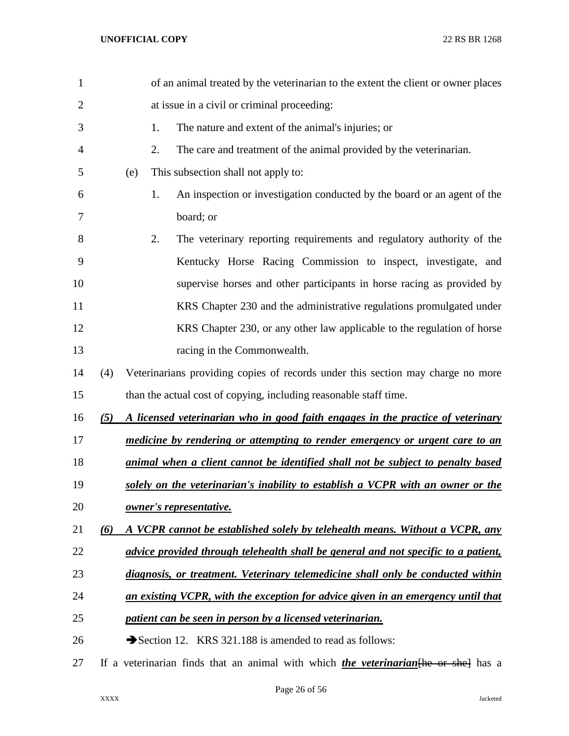| 1              |     |                         | of an animal treated by the veterinarian to the extent the client or owner places           |
|----------------|-----|-------------------------|---------------------------------------------------------------------------------------------|
| $\overline{2}$ |     |                         | at issue in a civil or criminal proceeding:                                                 |
| 3              |     | 1.                      | The nature and extent of the animal's injuries; or                                          |
| 4              |     | 2.                      | The care and treatment of the animal provided by the veterinarian.                          |
| 5              |     | (e)                     | This subsection shall not apply to:                                                         |
| 6              |     | 1.                      | An inspection or investigation conducted by the board or an agent of the                    |
| 7              |     | board; or               |                                                                                             |
| 8              |     | 2.                      | The veterinary reporting requirements and regulatory authority of the                       |
| 9              |     |                         | Kentucky Horse Racing Commission to inspect, investigate, and                               |
| 10             |     |                         | supervise horses and other participants in horse racing as provided by                      |
| 11             |     |                         | KRS Chapter 230 and the administrative regulations promulgated under                        |
| 12             |     |                         | KRS Chapter 230, or any other law applicable to the regulation of horse                     |
| 13             |     |                         | racing in the Commonwealth.                                                                 |
| 14             | (4) |                         | Veterinarians providing copies of records under this section may charge no more             |
| 15             |     |                         | than the actual cost of copying, including reasonable staff time.                           |
| 16             | (5) |                         | A licensed veterinarian who in good faith engages in the practice of veterinary             |
| 17             |     |                         | medicine by rendering or attempting to render emergency or urgent care to an                |
| 18             |     |                         | animal when a client cannot be identified shall not be subject to penalty based             |
| 19             |     |                         | solely on the veterinarian's inability to establish a VCPR with an owner or the             |
| 20             |     | owner's representative. |                                                                                             |
| 21             | (6) |                         | A VCPR cannot be established solely by telehealth means. Without a VCPR, any                |
| 22             |     |                         | advice provided through telehealth shall be general and not specific to a patient,          |
| 23             |     |                         | diagnosis, or treatment. Veterinary telemedicine shall only be conducted within             |
| 24             |     |                         | an existing VCPR, with the exception for advice given in an emergency until that            |
| 25             |     |                         | patient can be seen in person by a licensed veterinarian.                                   |
| 26             |     |                         | Section 12. KRS 321.188 is amended to read as follows:                                      |
| 27             |     |                         | If a veterinarian finds that an animal with which <i>the veterinarian</i> [he or she] has a |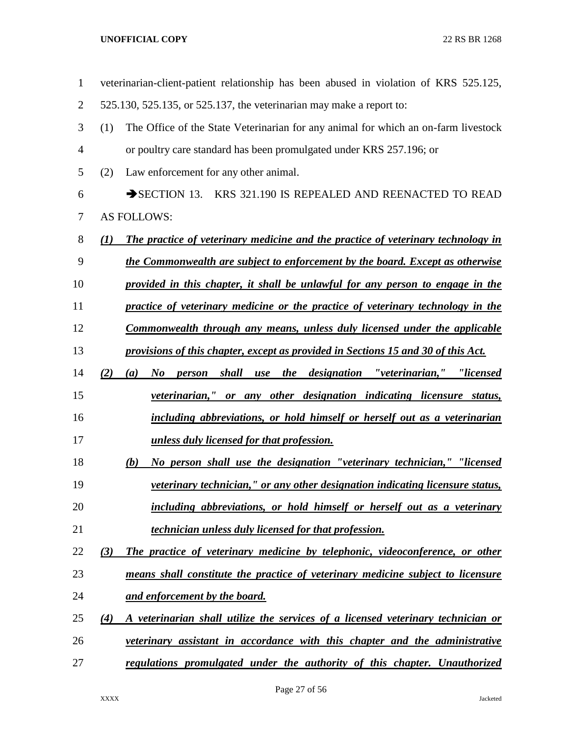| $\mathbf{1}$   | veterinarian-client-patient relationship has been abused in violation of KRS 525.125,     |
|----------------|-------------------------------------------------------------------------------------------|
| $\overline{2}$ | 525.130, 525.135, or 525.137, the veterinarian may make a report to:                      |
| 3              | The Office of the State Veterinarian for any animal for which an on-farm livestock<br>(1) |
| 4              | or poultry care standard has been promulgated under KRS 257.196; or                       |
| 5              | Law enforcement for any other animal.<br>(2)                                              |
| 6              | SECTION 13. KRS 321.190 IS REPEALED AND REENACTED TO READ                                 |
| 7              | <b>AS FOLLOWS:</b>                                                                        |
| 8              | The practice of veterinary medicine and the practice of veterinary technology in<br>(1)   |
| 9              | the Commonwealth are subject to enforcement by the board. Except as otherwise             |
| 10             | provided in this chapter, it shall be unlawful for any person to engage in the            |
| 11             | practice of veterinary medicine or the practice of veterinary technology in the           |
| 12             | Commonwealth through any means, unless duly licensed under the applicable                 |
| 13             | provisions of this chapter, except as provided in Sections 15 and 30 of this Act.         |
| 14             | person shall use the designation "veterinarian," "licensed<br>(2)<br>$\bm{N}$<br>(a)      |
| 15             | <i>veterinarian,"</i> or any other designation indicating licensure status,               |
| 16             | including abbreviations, or hold himself or herself out as a veterinarian                 |
| 17             | unless duly licensed for that profession.                                                 |
| 18             | No person shall use the designation "veterinary technician," "licensed<br>(b)             |
| 19             | <i>veterinary technician," or any other designation indicating licensure status,</i>      |
| 20             | including abbreviations, or hold himself or herself out as a veterinary                   |
| 21             | technician unless duly licensed for that profession.                                      |
| 22             | The practice of veterinary medicine by telephonic, videoconference, or other<br>(3)       |
| 23             | means shall constitute the practice of veterinary medicine subject to licensure           |
| 24             | <u>and enforcement by the board.</u>                                                      |
| 25             | (4)<br>A veterinarian shall utilize the services of a licensed veterinary technician or   |
| 26             | veterinary assistant in accordance with this chapter and the administrative               |
| 27             | regulations promulgated under the authority of this chapter. Unauthorized                 |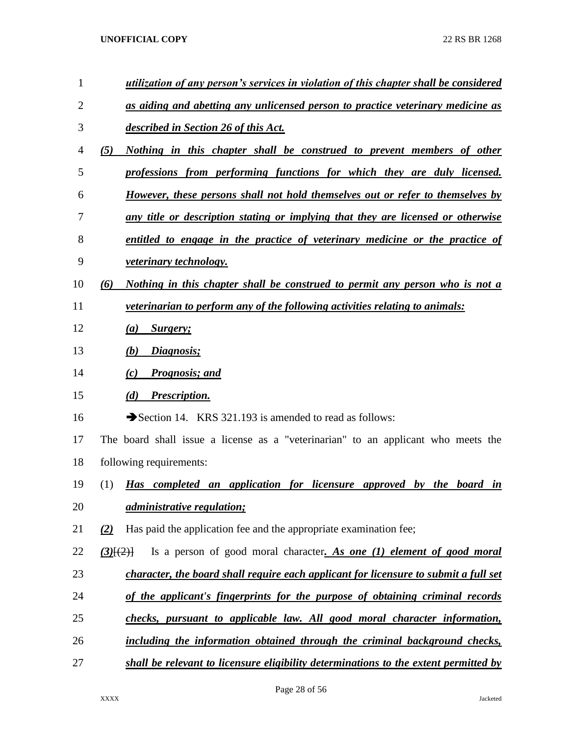| $\mathbf{1}$ | utilization of any person's services in violation of this chapter shall be considered |
|--------------|---------------------------------------------------------------------------------------|
| 2            | as aiding and abetting any unlicensed person to practice veterinary medicine as       |
| 3            | described in Section 26 of this Act.                                                  |
| 4            | (5)<br>Nothing in this chapter shall be construed to prevent members of other         |
| 5            | professions from performing functions for which they are duly licensed.               |
| 6            | However, these persons shall not hold themselves out or refer to themselves by        |
| 7            | any title or description stating or implying that they are licensed or otherwise      |
| 8            | entitled to engage in the practice of veterinary medicine or the practice of          |
| 9            | <i>veterinary technology.</i>                                                         |
| 10           | Nothing in this chapter shall be construed to permit any person who is not a<br>(6)   |
| 11           | <i>veterinarian to perform any of the following activities relating to animals:</i>   |
| 12           | (a)<br>Surgery;                                                                       |
| 13           | Diagnosis;<br>(b)                                                                     |
| 14           | <b>Prognosis; and</b><br>(c)                                                          |
| 15           | Prescription.<br>(d)                                                                  |
| 16           | Section 14. KRS 321.193 is amended to read as follows:                                |
| 17           | The board shall issue a license as a "veterinarian" to an applicant who meets the     |
| 18           | following requirements:                                                               |
| 19           | (1)<br>Has completed an application for licensure approved by the board in            |
| 20           | <i><u>administrative regulation;</u></i>                                              |
| 21           | Has paid the application fee and the appropriate examination fee;<br>(2)              |
| 22           | Is a person of good moral character. As one (1) element of good moral<br>$(3)$ $(2)$  |
| 23           | character, the board shall require each applicant for licensure to submit a full set  |
| 24           | of the applicant's fingerprints for the purpose of obtaining criminal records         |
| 25           | checks, pursuant to applicable law. All good moral character information,             |
| 26           | including the information obtained through the criminal background checks,            |
| 27           | shall be relevant to licensure eligibility determinations to the extent permitted by  |

Page 28 of 56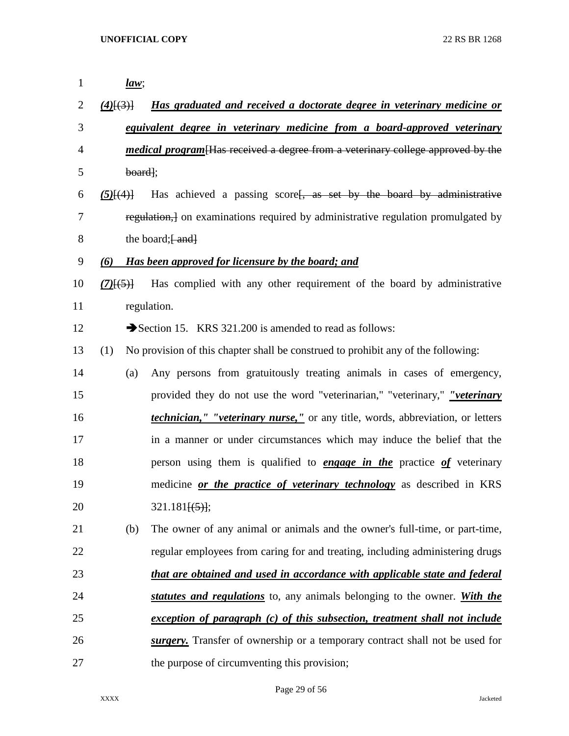| $\mathbf 1$    | law;                   |                                                                                         |
|----------------|------------------------|-----------------------------------------------------------------------------------------|
| 2              | $(4)$ $(3)$ }          | <u>Has graduated and received a doctorate degree in veterinary medicine or</u>          |
| 3              |                        | equivalent degree in veterinary medicine from a board-approved veterinary               |
| $\overline{4}$ |                        | <i>medical program</i> [Has received a degree from a veterinary college approved by the |
| 5              | $board$ ;              |                                                                                         |
| 6              | $(5)$ $\{4\}$          | Has achieved a passing score <del>passion as set by the board by administrative</del>   |
| 7              |                        | regulation, on examinations required by administrative regulation promulgated by        |
| 8              |                        | the board; $\left[-\text{and}\right]$                                                   |
| 9              | (6)                    | Has been approved for licensure by the board; and                                       |
| 10             | $(7)$ <del>[(5)]</del> | Has complied with any other requirement of the board by administrative                  |
| 11             |                        | regulation.                                                                             |
| 12             |                        | Section 15. KRS 321.200 is amended to read as follows:                                  |
| 13             | (1)                    | No provision of this chapter shall be construed to prohibit any of the following:       |
| 14             | (a)                    | Any persons from gratuitously treating animals in cases of emergency,                   |
| 15             |                        | provided they do not use the word "veterinarian," "veterinary," "veterinary             |
| 16             |                        | <i>technician," "veterinary nurse,"</i> or any title, words, abbreviation, or letters   |
| 17             |                        | in a manner or under circumstances which may induce the belief that the                 |
| 18             |                        | person using them is qualified to <b>engage in the</b> practice of veterinary           |
| 19             |                        | medicine <u>or the practice of veterinary technology</u> as described in KRS            |
| 20             |                        | $321.181\{(5)\};$                                                                       |
| 21             | (b)                    | The owner of any animal or animals and the owner's full-time, or part-time,             |
| 22             |                        | regular employees from caring for and treating, including administering drugs           |
| 23             |                        | that are obtained and used in accordance with applicable state and federal              |
| 24             |                        | statutes and regulations to, any animals belonging to the owner. With the               |
| 25             |                        | exception of paragraph (c) of this subsection, treatment shall not include              |
| 26             |                        | surgery. Transfer of ownership or a temporary contract shall not be used for            |
| 27             |                        | the purpose of circumventing this provision;                                            |

Page 29 of 56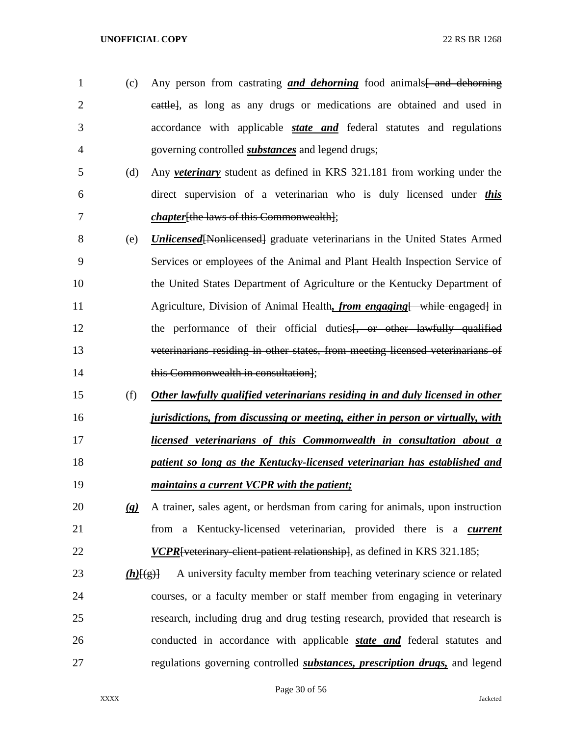- 1 (c) Any person from castrating *and dehorning* food animals and dehorning cattle], as long as any drugs or medications are obtained and used in accordance with applicable *state and* federal statutes and regulations governing controlled *substances* and legend drugs;
- (d) Any *veterinary* student as defined in KRS 321.181 from working under the direct supervision of a veterinarian who is duly licensed under *this chapter*[the laws of this Commonwealth];
- (e) *Unlicensed*[Nonlicensed] graduate veterinarians in the United States Armed Services or employees of the Animal and Plant Health Inspection Service of the United States Department of Agriculture or the Kentucky Department of 11 Agriculture, Division of Animal Health, *from engaging* [ while engaged] in 12 the performance of their official duties friends of the lawfully qualified veterinarians residing in other states, from meeting licensed veterinarians of **this Commonwealth in consultation**];
- (f) *Other lawfully qualified veterinarians residing in and duly licensed in other jurisdictions, from discussing or meeting, either in person or virtually, with licensed veterinarians of this Commonwealth in consultation about a patient so long as the Kentucky-licensed veterinarian has established and*
- *maintains a current VCPR with the patient;*
- *(g)* A trainer, sales agent, or herdsman from caring for animals, upon instruction from a Kentucky-licensed veterinarian, provided there is a *current VCPR* [veterinary-client-patient relationship], as defined in KRS 321.185;
- 23 *(h)* $\{f(g)\}$  A university faculty member from teaching veterinary science or related courses, or a faculty member or staff member from engaging in veterinary research, including drug and drug testing research, provided that research is conducted in accordance with applicable *state and* federal statutes and regulations governing controlled *substances, prescription drugs,* and legend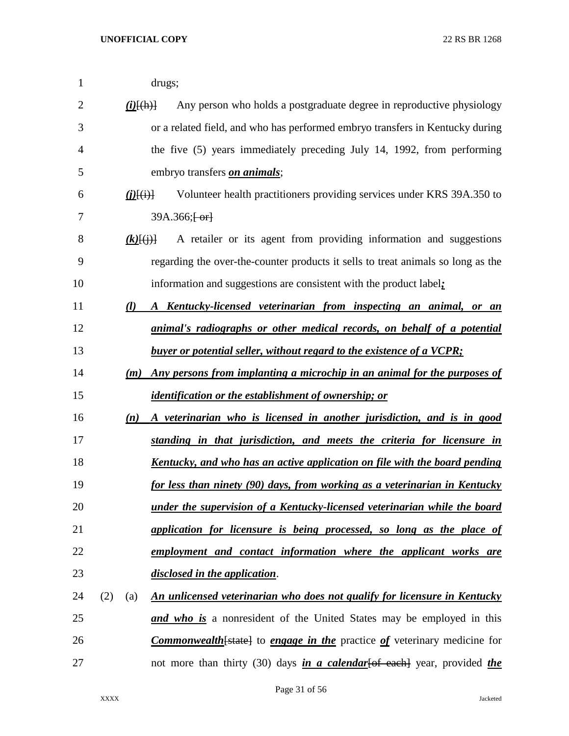| 1              |     |                        | drugs;                                                                                  |
|----------------|-----|------------------------|-----------------------------------------------------------------------------------------|
| $\overline{2}$ |     | $(i)$ $\{(\text{h})\}$ | Any person who holds a postgraduate degree in reproductive physiology                   |
| 3              |     |                        | or a related field, and who has performed embryo transfers in Kentucky during           |
| 4              |     |                        | the five (5) years immediately preceding July 14, 1992, from performing                 |
| 5              |     |                        | embryo transfers <i>on animals</i> ;                                                    |
| 6              |     | (DH)                   | Volunteer health practitioners providing services under KRS 39A.350 to                  |
| 7              |     |                        | $39A.366;$ $\leftarrow$                                                                 |
| 8              |     | $(k)$ $\{(\dagger)\}$  | A retailer or its agent from providing information and suggestions                      |
| 9              |     |                        | regarding the over-the-counter products it sells to treat animals so long as the        |
| 10             |     |                        | information and suggestions are consistent with the product label;                      |
| 11             |     | $\mathcal{U}$          | A Kentucky-licensed veterinarian from inspecting an animal, or an                       |
| 12             |     |                        | <i>animal's radiographs or other medical records, on behalf of a potential</i>          |
| 13             |     |                        | <b>buyer or potential seller, without regard to the existence of a VCPR:</b>            |
| 14             |     | (m)                    | Any persons from implanting a microchip in an animal for the purposes of                |
| 15             |     |                        | <i>identification or the establishment of ownership; or</i>                             |
| 16             |     | (n)                    | A veterinarian who is licensed in another jurisdiction, and is in good                  |
| 17             |     |                        | standing in that jurisdiction, and meets the criteria for licensure in                  |
| 18             |     |                        | <u>Kentucky, and who has an active application on file with the board pending</u>       |
| 19             |     |                        | for less than ninety (90) days, from working as a veterinarian in Kentucky              |
| 20             |     |                        | under the supervision of a Kentucky-licensed veterinarian while the board               |
| 21             |     |                        | application for licensure is being processed, so long as the place of                   |
| 22             |     |                        | employment and contact information where the applicant works are                        |
| 23             |     |                        | disclosed in the application.                                                           |
| 24             | (2) | (a)                    | <u>An unlicensed veterinarian who does not qualify for licensure in Kentucky</u>        |
| 25             |     |                        | <b>and who is</b> a nonresident of the United States may be employed in this            |
| 26             |     |                        | <b>Commonwealth</b> [state] to engage in the practice of veterinary medicine for        |
| 27             |     |                        | not more than thirty (30) days <i>in a calendar</i> [of each] year, provided <i>the</i> |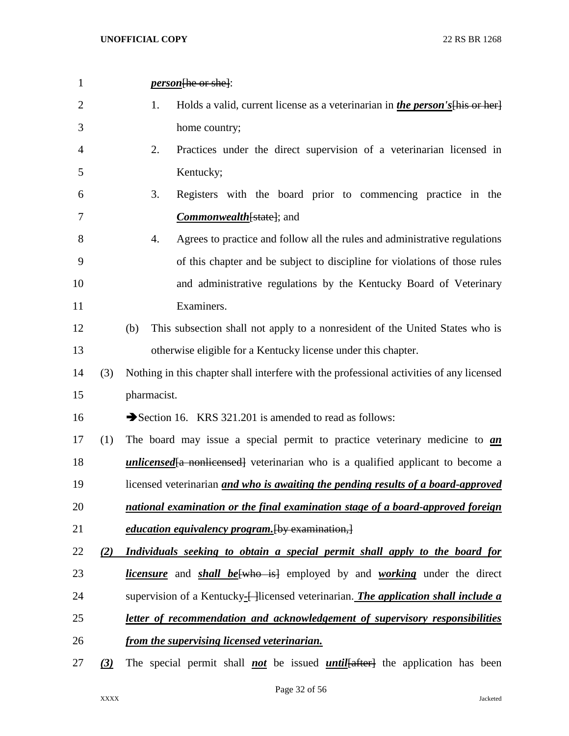| 1              |                 | <i>person</i> [he or she]:                                                                               |
|----------------|-----------------|----------------------------------------------------------------------------------------------------------|
| $\overline{2}$ |                 | 1.<br>Holds a valid, current license as a veterinarian in <i>the person's</i> [his or her]               |
| 3              |                 | home country;                                                                                            |
| $\overline{4}$ |                 | 2.<br>Practices under the direct supervision of a veterinarian licensed in                               |
| 5              |                 | Kentucky;                                                                                                |
| 6              |                 | 3.<br>Registers with the board prior to commencing practice in the                                       |
| 7              |                 | <b>Commonwealth</b> [state]; and                                                                         |
| 8              |                 | Agrees to practice and follow all the rules and administrative regulations<br>4.                         |
| 9              |                 | of this chapter and be subject to discipline for violations of those rules                               |
| 10             |                 | and administrative regulations by the Kentucky Board of Veterinary                                       |
| 11             |                 | Examiners.                                                                                               |
| 12             |                 | This subsection shall not apply to a nonresident of the United States who is<br>(b)                      |
| 13             |                 | otherwise eligible for a Kentucky license under this chapter.                                            |
| 14             | (3)             | Nothing in this chapter shall interfere with the professional activities of any licensed                 |
| 15             |                 | pharmacist.                                                                                              |
| 16             |                 | Section 16. KRS 321.201 is amended to read as follows:                                                   |
| 17             | (1)             | The board may issue a special permit to practice veterinary medicine to <i>an</i>                        |
| 18             |                 | <i>unlicensed</i> [a nonlicensed] veterinarian who is a qualified applicant to become a                  |
| 19             |                 | licensed veterinarian and who is awaiting the pending results of a board-approved                        |
| 20             |                 | national examination or the final examination stage of a board-approved foreign                          |
| 21             |                 | education equivalency program. [by examination,]                                                         |
| 22             | (2)             | Individuals seeking to obtain a special permit shall apply to the board for                              |
| 23             |                 | <i>licensure</i> and <i>shall be</i> <sup>{who is}</sup> employed by and <i>working</i> under the direct |
| 24             |                 | supervision of a Kentucky-Hicensed veterinarian. <i>The application shall include a</i>                  |
| 25             |                 | letter of recommendation and acknowledgement of supervisory responsibilities                             |
| 26             |                 | <u>from the supervising licensed veterinarian.</u>                                                       |
| 27             | $\underline{3}$ | The special permit shall <b>not</b> be issued <i>until</i> [after] the application has been              |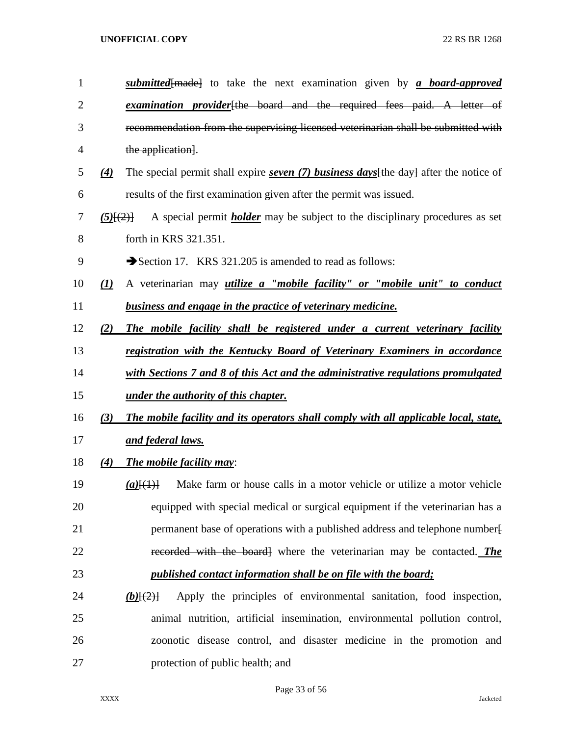| $\mathbf{1}$ |                               | <i>submitted</i> {made} to take the next examination given by <i>a board-approved</i>     |
|--------------|-------------------------------|-------------------------------------------------------------------------------------------|
| 2            |                               | examination provider the board and the required fees paid. A letter of                    |
| 3            |                               | recommendation from the supervising licensed veterinarian shall be submitted with         |
| 4            |                               | the application].                                                                         |
| 5            | $\underline{4}$               | The special permit shall expire seven $(7)$ business days [the day] after the notice of   |
| 6            |                               | results of the first examination given after the permit was issued.                       |
| 7            | (5)(2)                        | A special permit <i>holder</i> may be subject to the disciplinary procedures as set       |
| 8            |                               | forth in KRS 321.351.                                                                     |
| 9            |                               | Section 17. KRS 321.205 is amended to read as follows:                                    |
| 10           | $\left( \underline{I}\right)$ | A veterinarian may <i>utilize a "mobile facility" or "mobile unit" to conduct</i>         |
| 11           |                               | <b>business and engage in the practice of veterinary medicine.</b>                        |
| 12           | (2)                           | The mobile facility shall be registered under a current veterinary facility               |
| 13           |                               | registration with the Kentucky Board of Veterinary Examiners in accordance                |
| 14           |                               | with Sections 7 and 8 of this Act and the administrative regulations promulgated          |
| 15           |                               | <u>under the authority of this chapter.</u>                                               |
| 16           | (3)                           | The mobile facility and its operators shall comply with all applicable local, state,      |
| 17           |                               | and federal laws.                                                                         |
| 18           | (4)                           | <b>The mobile facility may:</b>                                                           |
| 19           |                               | Make farm or house calls in a motor vehicle or utilize a motor vehicle<br>$(a)$ [ $(1)$ ] |
| 20           |                               | equipped with special medical or surgical equipment if the veterinarian has a             |
| 21           |                               | permanent base of operations with a published address and telephone number-               |
| 22           |                               | recorded with the board] where the veterinarian may be contacted. The                     |
| 23           |                               | <i>published contact information shall be on file with the board;</i>                     |
| 24           |                               | Apply the principles of environmental sanitation, food inspection,<br>$(b)$ $\{2\}$       |
| 25           |                               | animal nutrition, artificial insemination, environmental pollution control,               |
| 26           |                               | zoonotic disease control, and disaster medicine in the promotion and                      |
| 27           |                               | protection of public health; and                                                          |

Page 33 of 56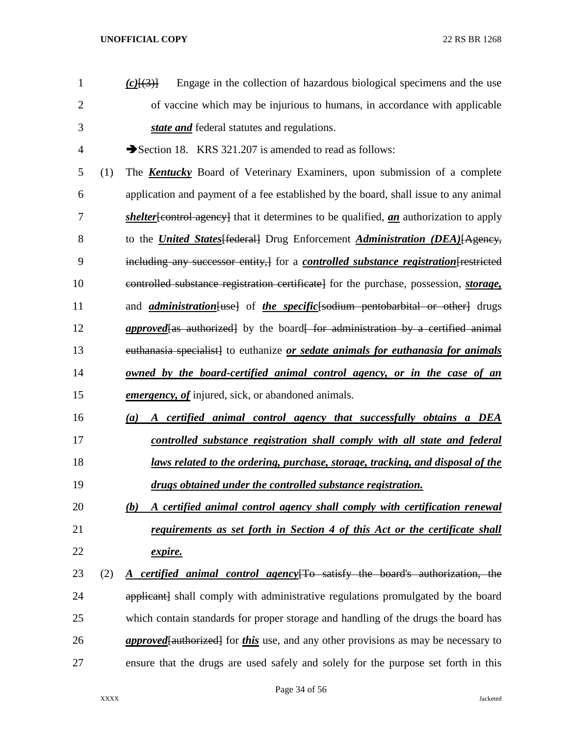| 1  |     | Engage in the collection of hazardous biological specimens and the use<br>$(c)$ $\{3\}$              |
|----|-----|------------------------------------------------------------------------------------------------------|
| 2  |     | of vaccine which may be injurious to humans, in accordance with applicable                           |
| 3  |     | state and federal statutes and regulations.                                                          |
| 4  |     | Section 18. KRS 321.207 is amended to read as follows:                                               |
| 5  | (1) | The <b>Kentucky</b> Board of Veterinary Examiners, upon submission of a complete                     |
| 6  |     | application and payment of a fee established by the board, shall issue to any animal                 |
| 7  |     | <i>shelter</i> [control agency] that it determines to be qualified, <i>an</i> authorization to apply |
| 8  |     | to the <i>United States</i> [federal] Drug Enforcement <i>Administration (DEA)</i> [Agency,          |
| 9  |     | including any successor entity, for a <i>controlled substance registration</i> [restricted]          |
| 10 |     | controlled substance registration certificate for the purchase, possession, <i>storage</i> ,         |
| 11 |     | and <i>administration</i> [use] of <i>the specific</i> [sodium pentobarbital or other] drugs         |
| 12 |     | <i>approved</i> [as authorized] by the board [for administration by a certified animal               |
| 13 |     | euthanasia specialist] to euthanize or sedate animals for euthanasia for animals                     |
| 14 |     | <u>owned by the board-certified animal control agency, or in the case of an</u>                      |
| 15 |     | emergency, of injured, sick, or abandoned animals.                                                   |
| 16 |     | A certified animal control agency that successfully obtains a DEA<br>(a)                             |
| 17 |     | controlled substance registration shall comply with all state and federal                            |
| 18 |     | <u>laws related to the ordering, purchase, storage, tracking, and disposal of the</u>                |
| 19 |     | drugs obtained under the controlled substance registration.                                          |
| 20 |     | A certified animal control agency shall comply with certification renewal<br>(b)                     |
| 21 |     | requirements as set forth in Section 4 of this Act or the certificate shall                          |
| 22 |     | expire.                                                                                              |
| 23 | (2) | <u>A certified animal control agency</u> to satisfy the board's authorization, the                   |
| 24 |     | applicant] shall comply with administrative regulations promulgated by the board                     |
| 25 |     | which contain standards for proper storage and handling of the drugs the board has                   |
| 26 |     | <i>approved</i> [authorized] for <i>this</i> use, and any other provisions as may be necessary to    |
| 27 |     | ensure that the drugs are used safely and solely for the purpose set forth in this                   |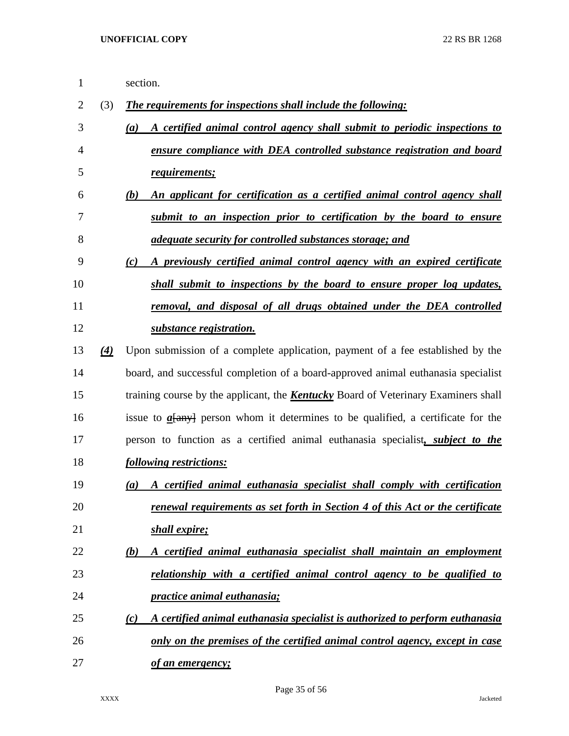| $\mathbf{1}$ |                   | section.                                                                                      |
|--------------|-------------------|-----------------------------------------------------------------------------------------------|
| 2            | (3)               | The requirements for inspections shall include the following:                                 |
| 3            |                   | A certified animal control agency shall submit to periodic inspections to<br>(a)              |
| 4            |                   | ensure compliance with DEA controlled substance registration and board                        |
| 5            |                   | requirements;                                                                                 |
| 6            |                   | An applicant for certification as a certified animal control agency shall<br>(b)              |
| 7            |                   | submit to an inspection prior to certification by the board to ensure                         |
| 8            |                   | <i>adequate security for controlled substances storage; and</i>                               |
| 9            |                   | A previously certified animal control agency with an expired certificate<br>$\left( c\right)$ |
| 10           |                   | shall submit to inspections by the board to ensure proper log updates,                        |
| 11           |                   | removal, and disposal of all drugs obtained under the DEA controlled                          |
| 12           |                   | substance registration.                                                                       |
| 13           | $\left( 4\right)$ | Upon submission of a complete application, payment of a fee established by the                |
| 14           |                   | board, and successful completion of a board-approved animal euthanasia specialist             |
| 15           |                   | training course by the applicant, the <b>Kentucky</b> Board of Veterinary Examiners shall     |
| 16           |                   | issue to $a$ [any] person whom it determines to be qualified, a certificate for the           |
| 17           |                   | person to function as a certified animal euthanasia specialist, <i>subject to the</i>         |
| 18           |                   | following restrictions:                                                                       |
| 19           |                   | A certified animal euthanasia specialist shall comply with certification<br>(a)               |
| 20           |                   | renewal requirements as set forth in Section 4 of this Act or the certificate                 |
| 21           |                   | shall expire;                                                                                 |
| 22           |                   | A certified animal euthanasia specialist shall maintain an employment<br>(b)                  |
| 23           |                   | relationship with a certified animal control agency to be qualified to                        |
| 24           |                   | <i>practice animal euthanasia;</i>                                                            |
| 25           |                   | A certified animal euthanasia specialist is authorized to perform euthanasia<br>(c)           |
| 26           |                   | only on the premises of the certified animal control agency, except in case                   |
| 27           |                   | of an emergency;                                                                              |

Page 35 of 56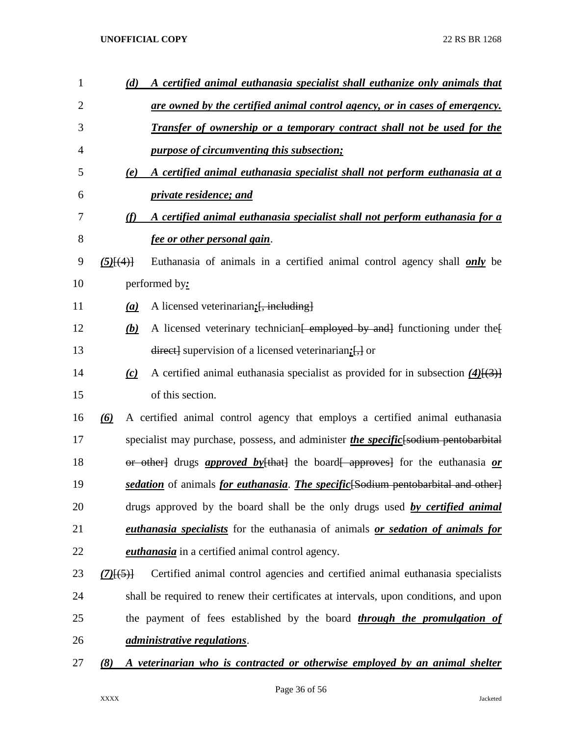| $\mathbf{1}$   | (d)              | <u>A certified animal euthanasia specialist shall euthanize only animals that</u>             |
|----------------|------------------|-----------------------------------------------------------------------------------------------|
| $\overline{2}$ |                  | <u>are owned by the certified animal control agency, or in cases of emergency.</u>            |
| 3              |                  | <u>Transfer of ownership or a temporary contract shall not be used for the</u>                |
| 4              |                  | <i>purpose of circumventing this subsection;</i>                                              |
| 5              | (e)              | A certified animal euthanasia specialist shall not perform euthanasia at a                    |
| 6              |                  | <i>private residence; and</i>                                                                 |
| 7              | (f)              | <u>A certified animal euthanasia specialist shall not perform euthanasia for a</u>            |
| 8              |                  | <u>fee or other personal gain.</u>                                                            |
| 9              | $(5)$ $\{4\}$    | Euthanasia of animals in a certified animal control agency shall <i>only</i> be               |
| 10             |                  | performed by:                                                                                 |
| 11             | $\left(a\right)$ | A licensed veterinarian; [, including]                                                        |
| 12             | (b)              | A licensed veterinary technician <del>[ employed by and]</del> functioning under the          |
| 13             |                  | $\frac{direct}{}$ supervision of a licensed veterinarian; $\frac{1}{x}$ or                    |
| 14             | (c)              | A certified animal euthanasia specialist as provided for in subsection $(4)$ [(3)]            |
| 15             |                  | of this section.                                                                              |
| 16             | $\omega$         | A certified animal control agency that employs a certified animal euthanasia                  |
| 17             |                  | specialist may purchase, possess, and administer <i>the specific</i> [sodium pentobarbital    |
| 18             |                  | or other drugs <i>approved by</i> $[that]$ the board approves for the euthanasia <i>or</i>    |
| 19             |                  | sedation of animals for euthanasia. The specific Sodium pentobarbital and other               |
| 20             |                  | drugs approved by the board shall be the only drugs used by certified animal                  |
| 21             |                  | <i>euthanasia specialists</i> for the euthanasia of animals <i>or sedation of animals for</i> |
| 22             |                  | <i>euthanasia</i> in a certified animal control agency.                                       |
| 23             | $(7)$ $(5)$ }    | Certified animal control agencies and certified animal euthanasia specialists                 |
| 24             |                  | shall be required to renew their certificates at intervals, upon conditions, and upon         |
| 25             |                  | the payment of fees established by the board <i>through the promulgation of</i>               |
| 26             |                  | <i>administrative regulations.</i>                                                            |
| 27             | (8)              | A veterinarian who is contracted or otherwise employed by an animal shelter                   |
|                |                  |                                                                                               |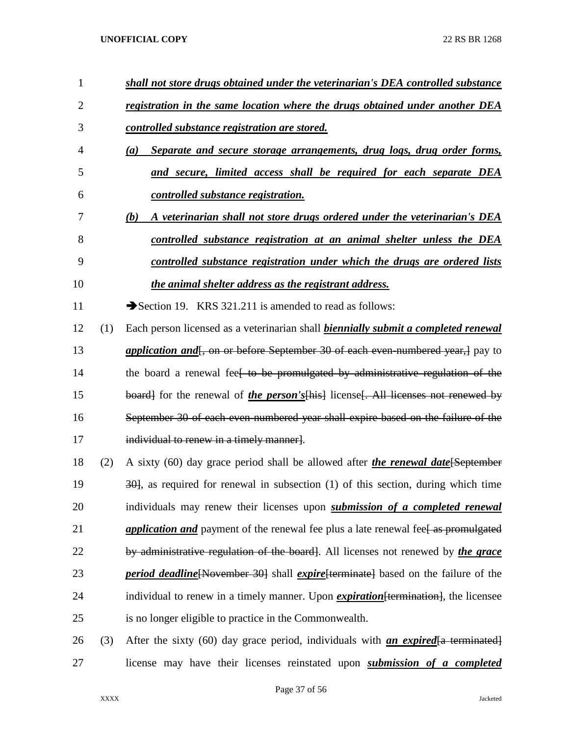| 1              |     | shall not store drugs obtained under the veterinarian's DEA controlled substance                 |
|----------------|-----|--------------------------------------------------------------------------------------------------|
| $\overline{2}$ |     | registration in the same location where the drugs obtained under another DEA                     |
| 3              |     | <u>controlled substance registration are stored.</u>                                             |
| 4              |     | Separate and secure storage arrangements, drug logs, drug order forms,<br>(a)                    |
| 5              |     | <u>and secure, limited access shall be required for each separate DEA</u>                        |
| 6              |     | controlled substance registration.                                                               |
| 7              |     | A veterinarian shall not store drugs ordered under the veterinarian's DEA<br>(b)                 |
| 8              |     | controlled substance registration at an animal shelter unless the DEA                            |
| 9              |     | controlled substance registration under which the drugs are ordered lists                        |
| 10             |     | the animal shelter address as the registrant address.                                            |
| 11             |     | Section 19. KRS 321.211 is amended to read as follows:                                           |
| 12             | (1) | Each person licensed as a veterinarian shall biennially submit a completed renewal               |
| 13             |     | <i>application and</i> , on or before September 30 of each even numbered year, apply to          |
| 14             |     | the board a renewal fee <del>l to be promulgated by administrative regulation of the</del>       |
| 15             |     | board] for the renewal of <i>the person's</i> [his] license [. All licenses not renewed by       |
| 16             |     | September 30 of each even-numbered year shall expire based on the failure of the                 |
| 17             |     | individual to renew in a timely manner].                                                         |
| 18             | (2) | A sixty (60) day grace period shall be allowed after <i>the renewal date</i> [September          |
| 19             |     | $\frac{301}{100}$ , as required for renewal in subsection (1) of this section, during which time |
| 20             |     | individuals may renew their licenses upon <i>submission of a completed renewal</i>               |
| 21             |     | <i>application and</i> payment of the renewal fee plus a late renewal fee as promulgated         |
| 22             |     | by administrative regulation of the board. All licenses not renewed by the grace                 |
| 23             |     | <i>period deadline</i> [November 30] shall <i>expire</i> [terminate] based on the failure of the |
| 24             |     | individual to renew in a timely manner. Upon <i>expiration</i> [termination], the licensee       |
| 25             |     | is no longer eligible to practice in the Commonwealth.                                           |
| 26             | (3) | After the sixty (60) day grace period, individuals with <b>an expired</b> a terminated           |
| 27             |     | license may have their licenses reinstated upon <i>submission of a completed</i>                 |

Page 37 of 56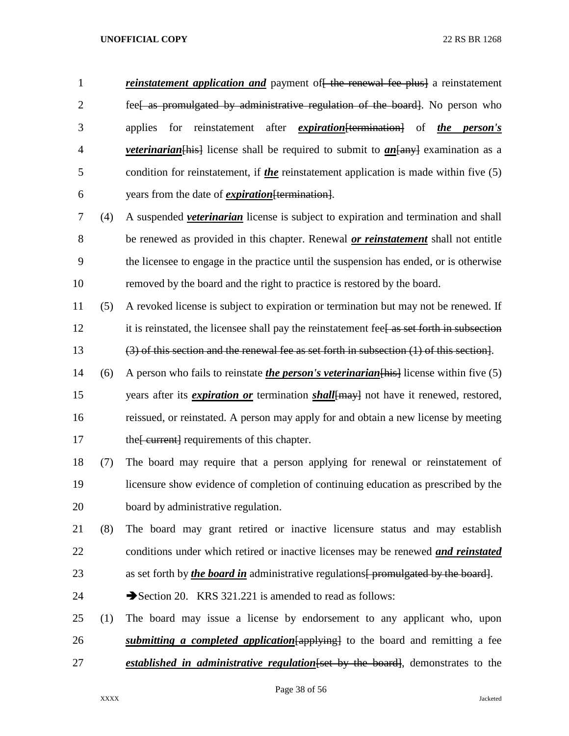*reinstatement application and* payment of the renewal fee plus a reinstatement 2 fee as promulgated by administrative regulation of the board. No person who applies for reinstatement after *expiration*[termination] of *the person's veterinarian* [hist] license shall be required to submit to *an* [any] examination as a condition for reinstatement, if *the* reinstatement application is made within five (5) years from the date of *expiration*[termination].

 (4) A suspended *veterinarian* license is subject to expiration and termination and shall be renewed as provided in this chapter. Renewal *or reinstatement* shall not entitle the licensee to engage in the practice until the suspension has ended, or is otherwise removed by the board and the right to practice is restored by the board.

 (5) A revoked license is subject to expiration or termination but may not be renewed. If 12 it is reinstated, the licensee shall pay the reinstatement fee. The set forth in subsection (3) of this section and the renewal fee as set forth in subsection (1) of this section].

- (6) A person who fails to reinstate *the person's veterinarian*[his] license within five (5) years after its *expiration or* termination *shall*[may] not have it renewed, restored, reissued, or reinstated. A person may apply for and obtain a new license by meeting 17 the [ current] requirements of this chapter.
- (7) The board may require that a person applying for renewal or reinstatement of licensure show evidence of completion of continuing education as prescribed by the board by administrative regulation.

 (8) The board may grant retired or inactive licensure status and may establish conditions under which retired or inactive licenses may be renewed *and reinstated* 23 as set forth by *the board in* administrative regulations<del>[ promulgated by the board]</del>.

- 24 Section 20. KRS 321.221 is amended to read as follows:
- (1) The board may issue a license by endorsement to any applicant who, upon *submitting a completed application*[applying] to the board and remitting a fee *established in administrative regulation*[set by the board], demonstrates to the

Page 38 of 56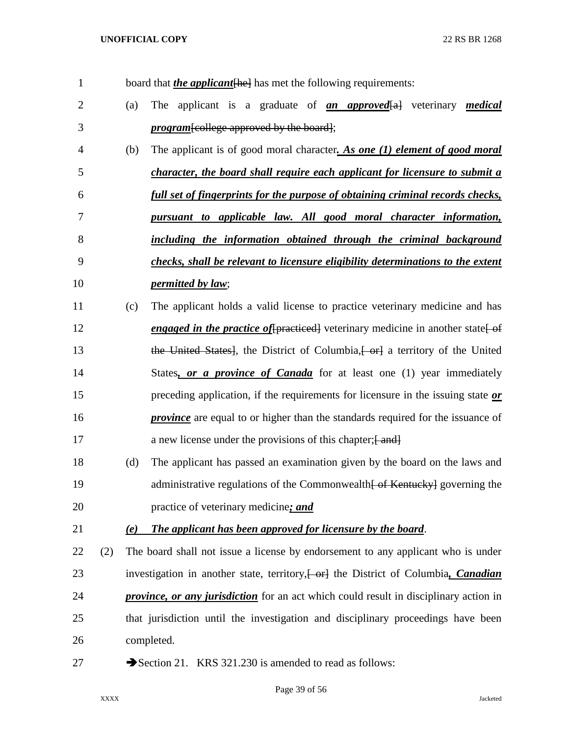| $\mathbf{1}$   |     |     | board that <i>the applicant</i> [he] has met the following requirements:                     |
|----------------|-----|-----|----------------------------------------------------------------------------------------------|
| $\overline{2}$ |     | (a) | The applicant is a graduate of <b>an approved</b> all veterinary medical                     |
| 3              |     |     | <i>program</i> [college approved by the board];                                              |
| 4              |     | (b) | The applicant is of good moral character. As one (1) element of good moral                   |
| 5              |     |     | <i>character, the board shall require each applicant for licensure to submit a</i>           |
| 6              |     |     | full set of fingerprints for the purpose of obtaining criminal records checks,               |
| 7              |     |     | pursuant to applicable law. All good moral character information,                            |
| 8              |     |     | including the information obtained through the criminal background                           |
| 9              |     |     | checks, shall be relevant to licensure eligibility determinations to the extent              |
| 10             |     |     | <i>permitted by law;</i>                                                                     |
| 11             |     | (c) | The applicant holds a valid license to practice veterinary medicine and has                  |
| 12             |     |     | <i>engaged in the practice of</i> [practiced] veterinary medicine in another state of        |
| 13             |     |     | the United States], the District of Columbia, or a territory of the United                   |
| 14             |     |     | States, or a province of Canada for at least one (1) year immediately                        |
| 15             |     |     | preceding application, if the requirements for licensure in the issuing state or             |
| 16             |     |     | <b>province</b> are equal to or higher than the standards required for the issuance of       |
| 17             |     |     | a new license under the provisions of this chapter; [and]                                    |
| 18             |     | (d) | The applicant has passed an examination given by the board on the laws and                   |
| 19             |     |     | administrative regulations of the Commonwealth of Kentucky governing the                     |
| 20             |     |     | practice of veterinary medicine; and                                                         |
| 21             |     | (e) | The applicant has been approved for licensure by the board.                                  |
| 22             | (2) |     | The board shall not issue a license by endorsement to any applicant who is under             |
| 23             |     |     | investigation in another state, territory, [ - or] the District of Columbia, <i>Canadian</i> |
| 24             |     |     | <i>province, or any jurisdiction</i> for an act which could result in disciplinary action in |
| 25             |     |     | that jurisdiction until the investigation and disciplinary proceedings have been             |
| 26             |     |     | completed.                                                                                   |
| 27             |     |     | Section 21. KRS 321.230 is amended to read as follows:                                       |

Page 39 of 56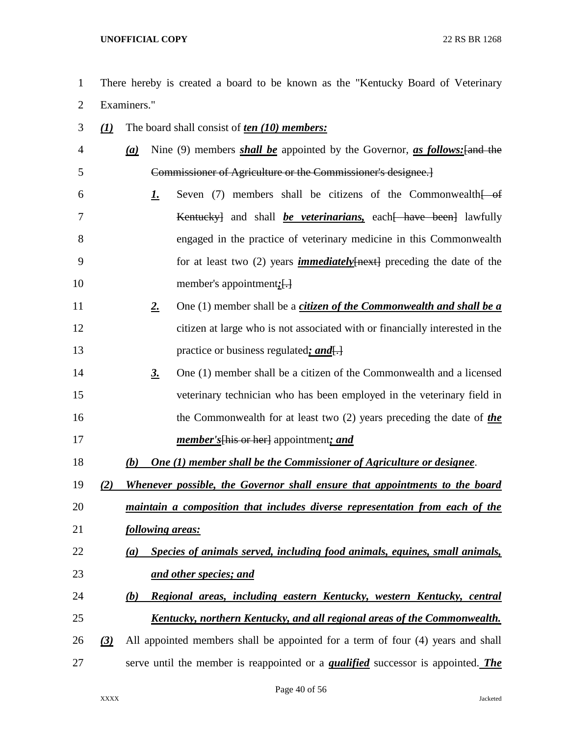- There hereby is created a board to be known as the "Kentucky Board of Veterinary Examiners."
- *(1)* The board shall consist of *ten (10) members: (a)* Nine (9) members *shall be* appointed by the Governor, *as follows:*[and the Commissioner of Agriculture or the Commissioner's designee.] **1.** Seven (7) members shall be citizens of the Commonwealth of Kentucky] and shall *be veterinarians,* each[ have been] lawfully engaged in the practice of veterinary medicine in this Commonwealth for at least two (2) years *immediately*[next] preceding the date of the 10 member's appointment; [...] *2.* One (1) member shall be a *citizen of the Commonwealth and shall be a* citizen at large who is not associated with or financially interested in the 13 **practice or business regulated**; and  $\leftarrow$  *3.* One (1) member shall be a citizen of the Commonwealth and a licensed veterinary technician who has been employed in the veterinary field in the Commonwealth for at least two (2) years preceding the date of *the member's*[his or her] appointment*; and (b) One (1) member shall be the Commissioner of Agriculture or designee*. *(2) Whenever possible, the Governor shall ensure that appointments to the board maintain a composition that includes diverse representation from each of the following areas: (a) Species of animals served, including food animals, equines, small animals, and other species; and (b) Regional areas, including eastern Kentucky, western Kentucky, central Kentucky, northern Kentucky, and all regional areas of the Commonwealth. (3)* All appointed members shall be appointed for a term of four (4) years and shall serve until the member is reappointed or a *qualified* successor is appointed. *The*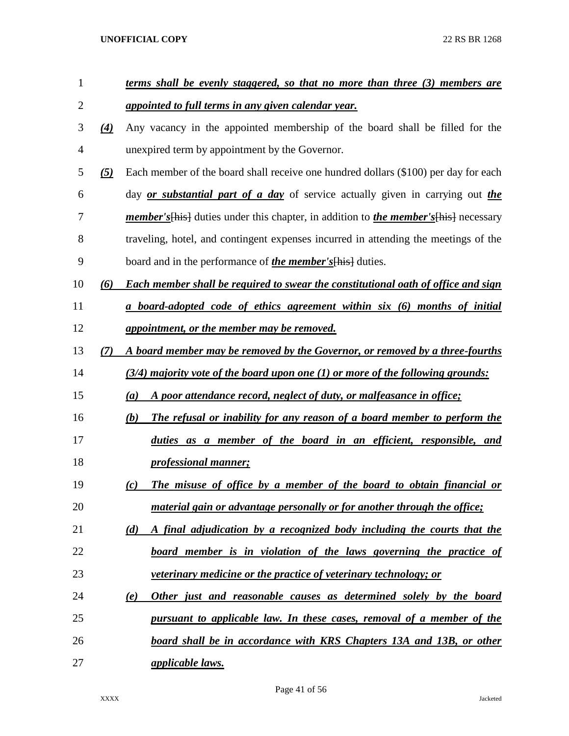| $\mathbf{1}$   |                   | <u>terms shall be evenly staggered, so that no more than three (3) members are</u>           |
|----------------|-------------------|----------------------------------------------------------------------------------------------|
| $\overline{2}$ |                   | appointed to full terms in any given calendar year.                                          |
| 3              | $\left( 4\right)$ | Any vacancy in the appointed membership of the board shall be filled for the                 |
| 4              |                   | unexpired term by appointment by the Governor.                                               |
| 5              | $\left( 5\right)$ | Each member of the board shall receive one hundred dollars (\$100) per day for each          |
| 6              |                   | day <i>or substantial part of a day</i> of service actually given in carrying out <i>the</i> |
| 7              |                   | member's [his] duties under this chapter, in addition to <i>the member's</i> [his] necessary |
| 8              |                   | traveling, hotel, and contingent expenses incurred in attending the meetings of the          |
| 9              |                   | board and in the performance of <i>the member's</i> [his] duties.                            |
| 10             | (6)               | Each member shall be required to swear the constitutional oath of office and sign            |
| 11             |                   | a board-adopted code of ethics agreement within six (6) months of initial                    |
| 12             |                   | appointment, or the member may be removed.                                                   |
| 13             | (7)               | A board member may be removed by the Governor, or removed by a three-fourths                 |
| 14             |                   | $(3/4)$ majority vote of the board upon one (1) or more of the following grounds:            |
| 15             |                   | A poor attendance record, neglect of duty, or malfeasance in office;<br>(a)                  |
| 16             |                   | The refusal or inability for any reason of a board member to perform the<br>(b)              |
| 17             |                   | duties as a member of the board in an efficient, responsible, and                            |
| 18             |                   | <i>professional manner;</i>                                                                  |
| 19             |                   | The misuse of office by a member of the board to obtain financial or<br>(c)                  |
| 20             |                   | material gain or advantage personally or for another through the office;                     |
| 21             |                   | (d)<br>A final adjudication by a recognized body including the courts that the               |
| 22             |                   | <u>board member is in violation of the laws governing the practice of</u>                    |
| 23             |                   | <i>veterinary medicine or the practice of veterinary technology; or</i>                      |
| 24             |                   | Other just and reasonable causes as determined solely by the board<br>(e)                    |
| 25             |                   | pursuant to applicable law. In these cases, removal of a member of the                       |
| 26             |                   | board shall be in accordance with KRS Chapters 13A and 13B, or other                         |
| 27             |                   | <i><u>applicable laws.</u></i>                                                               |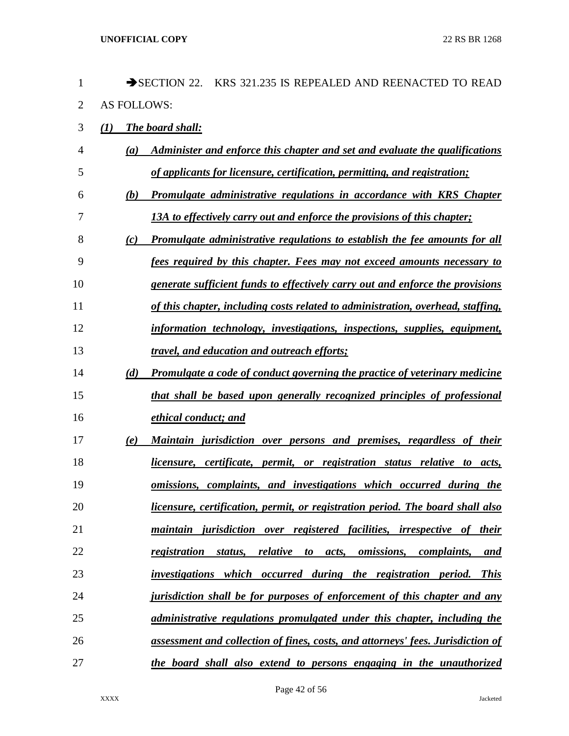| $\mathbf{1}$   |                    | SECTION 22. KRS 321.235 IS REPEALED AND REENACTED TO READ                                                      |
|----------------|--------------------|----------------------------------------------------------------------------------------------------------------|
| $\overline{2}$ | <b>AS FOLLOWS:</b> |                                                                                                                |
| 3              | (I)                | The board shall:                                                                                               |
| 4              | (a)                | Administer and enforce this chapter and set and evaluate the qualifications                                    |
| 5              |                    | of applicants for licensure, certification, permitting, and registration;                                      |
| 6              | (b)                | <b>Promulgate administrative regulations in accordance with KRS Chapter</b>                                    |
| 7              |                    | 13A to effectively carry out and enforce the provisions of this chapter;                                       |
| 8              | (c)                | Promulgate administrative regulations to establish the fee amounts for all                                     |
| 9              |                    | fees required by this chapter. Fees may not exceed amounts necessary to                                        |
| 10             |                    | <u>generate sufficient funds to effectively carry out and enforce the provisions</u>                           |
| 11             |                    | of this chapter, including costs related to administration, overhead, staffing,                                |
| 12             |                    | information technology, investigations, inspections, supplies, equipment,                                      |
| 13             |                    | <i>travel, and education and outreach efforts;</i>                                                             |
| 14             | (d)                | <b>Promulgate a code of conduct governing the practice of veterinary medicine</b>                              |
| 15             |                    | that shall be based upon generally recognized principles of professional                                       |
| 16             |                    | ethical conduct; and                                                                                           |
| 17             | (e)                | Maintain jurisdiction over persons and premises, regardless of their                                           |
| 18             |                    | licensure, certificate, permit, or registration status relative to acts,                                       |
| 19             |                    | omissions, complaints, and investigations which occurred during the                                            |
| 20             |                    | licensure, certification, permit, or registration period. The board shall also                                 |
| 21             |                    | maintain jurisdiction over registered facilities, irrespective of their                                        |
| 22             |                    | relative<br><i>omissions,</i><br><i>complaints,</i><br>registration<br>status,<br>acts,<br>to to<br><u>and</u> |
| 23             |                    | investigations which occurred during the registration period.<br><b>This</b>                                   |
| 24             |                    | jurisdiction shall be for purposes of enforcement of this chapter and any                                      |
| 25             |                    | administrative regulations promulgated under this chapter, including the                                       |
| 26             |                    | assessment and collection of fines, costs, and attorneys' fees. Jurisdiction of                                |
| 27             |                    | the board shall also extend to persons engaging in the unauthorized                                            |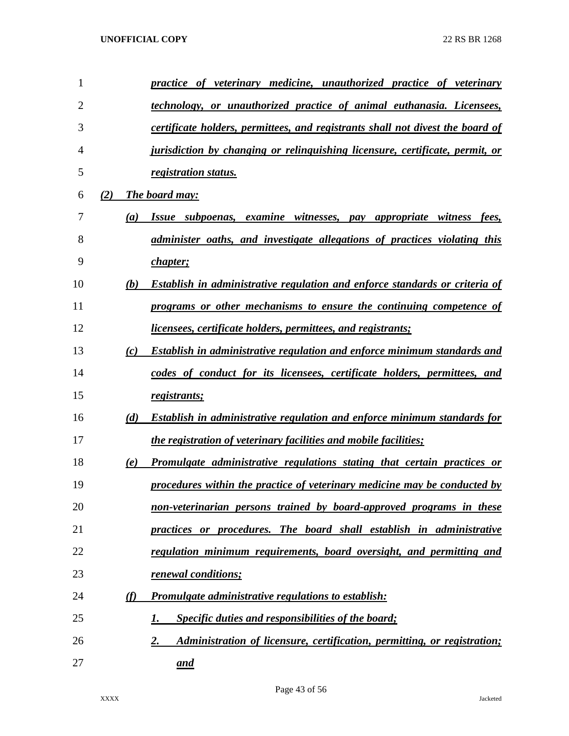| $\mathbf{1}$   |     | practice of veterinary medicine, unauthorized practice of veterinary               |
|----------------|-----|------------------------------------------------------------------------------------|
| $\overline{2}$ |     | technology, or unauthorized practice of animal euthanasia. Licensees,              |
| 3              |     | certificate holders, permittees, and registrants shall not divest the board of     |
| 4              |     | jurisdiction by changing or relinguishing licensure, certificate, permit, or       |
| 5              |     | registration status.                                                               |
| 6              | (2) | The board may:                                                                     |
| 7              | (a) | Issue subpoenas, examine witnesses,<br>pay appropriate witness fees,               |
| 8              |     | administer oaths, and investigate allegations of practices violating this          |
| 9              |     | <i>chapter</i> ;                                                                   |
| 10             | (b) | <b>Establish in administrative regulation and enforce standards or criteria of</b> |
| 11             |     | programs or other mechanisms to ensure the continuing competence of                |
| 12             |     | <i>licensees, certificate holders, permittees, and registrants;</i>                |
| 13             | (c) | <b>Establish in administrative regulation and enforce minimum standards and</b>    |
| 14             |     | codes of conduct for its licensees, certificate holders, permittees, and           |
| 15             |     | registrants;                                                                       |
| 16             | (d) | Establish in administrative regulation and enforce minimum standards for           |
| 17             |     | <i>the registration of veterinary facilities and mobile facilities;</i>            |
| 18             | (e) | Promulgate administrative regulations stating that certain practices or            |
| 19             |     | procedures within the practice of veterinary medicine may be conducted by          |
| 20             |     | non-veterinarian persons trained by board-approved programs in these               |
| 21             |     | practices or procedures. The board shall establish in administrative               |
| 22             |     | regulation minimum requirements, board oversight, and permitting and               |
| 23             |     | renewal conditions;                                                                |
| 24             | (f) | <b>Promulgate administrative regulations to establish:</b>                         |
| 25             |     | <b>Specific duties and responsibilities of the board;</b><br>1.                    |
| 26             |     | Administration of licensure, certification, permitting, or registration;<br>2.     |
| 27             |     | and                                                                                |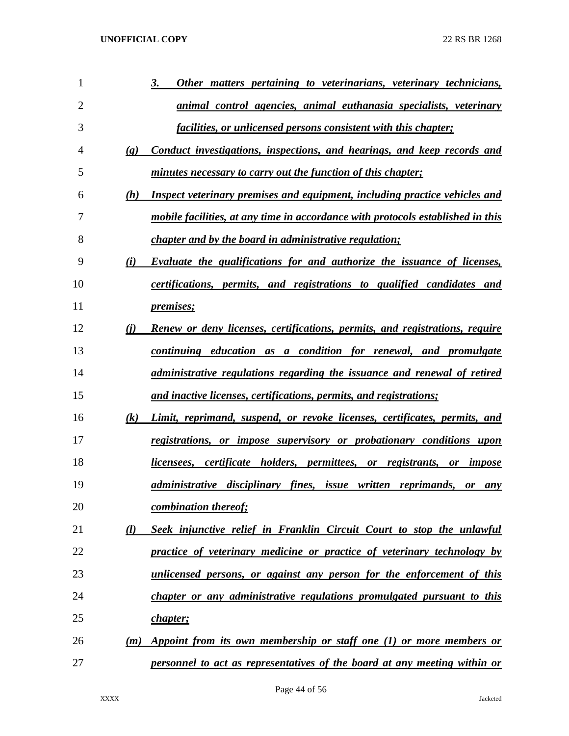| 1              |                             | 3.<br>Other matters pertaining to veterinarians, veterinary technicians,           |
|----------------|-----------------------------|------------------------------------------------------------------------------------|
| $\overline{2}$ |                             | <u>animal control agencies, animal euthanasia specialists, veterinary</u>          |
| 3              |                             | <i>facilities, or unlicensed persons consistent with this chapter;</i>             |
| 4              | $\left( \mathbf{g} \right)$ | Conduct investigations, inspections, and hearings, and keep records and            |
| 5              |                             | minutes necessary to carry out the function of this chapter;                       |
| 6              | (h)                         | <b>Inspect veterinary premises and equipment, including practice vehicles and</b>  |
| 7              |                             | mobile facilities, at any time in accordance with protocols established in this    |
| 8              |                             | <i>chapter and by the board in administrative regulation;</i>                      |
| 9              | (i)                         | Evaluate the qualifications for and authorize the issuance of licenses,            |
| 10             |                             | certifications, permits, and registrations to qualified candidates and             |
| 11             |                             | <i>premises</i> ;                                                                  |
| 12             | (i)                         | <b>Renew or deny licenses, certifications, permits, and registrations, require</b> |
| 13             |                             | continuing education as a condition for renewal, and promulgate                    |
| 14             |                             | administrative regulations regarding the issuance and renewal of retired           |
| 15             |                             | and inactive licenses, certifications, permits, and registrations;                 |
| 16             | (k)                         | Limit, reprimand, suspend, or revoke licenses, certificates, permits, and          |
| 17             |                             | registrations, or impose supervisory or probationary conditions upon               |
| 18             |                             | licensees, certificate holders, permittees, or registrants, or impose              |
| 19             |                             | administrative disciplinary fines, issue written reprimands, or<br>any             |
| 20             |                             | combination thereof;                                                               |
| 21             | (l)                         | Seek injunctive relief in Franklin Circuit Court to stop the unlawful              |
| 22             |                             | practice of veterinary medicine or practice of veterinary technology by            |
| 23             |                             | unlicensed persons, or against any person for the enforcement of this              |
| 24             |                             | chapter or any administrative regulations promulgated pursuant to this             |
| 25             |                             | <i>chapter</i> ;                                                                   |
| 26             | (m)                         | Appoint from its own membership or staff one (1) or more members or                |
| 27             |                             | personnel to act as representatives of the board at any meeting within or          |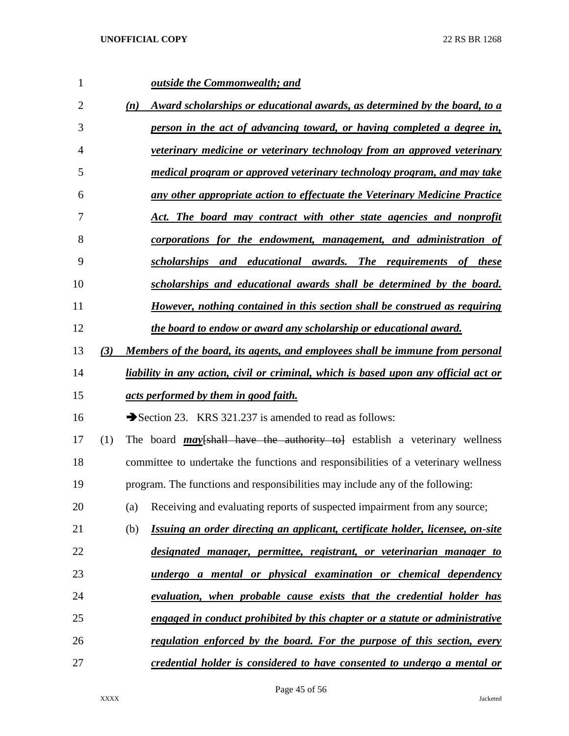| 1              |     |     | <b><u>outside the Commonwealth; and</u></b>                                         |
|----------------|-----|-----|-------------------------------------------------------------------------------------|
| $\overline{2}$ |     | (n) | Award scholarships or educational awards, as determined by the board, to a          |
| 3              |     |     | person in the act of advancing toward, or having completed a degree in,             |
| 4              |     |     | veterinary medicine or veterinary technology from an approved veterinary            |
| 5              |     |     | medical program or approved veterinary technology program, and may take             |
| 6              |     |     | any other appropriate action to effectuate the Veterinary Medicine Practice         |
| 7              |     |     | Act. The board may contract with other state agencies and nonprofit                 |
| 8              |     |     | corporations for the endowment, management, and administration of                   |
| 9              |     |     | scholarships and educational awards. The requirements of these                      |
| 10             |     |     | scholarships and educational awards shall be determined by the board.               |
| 11             |     |     | However, nothing contained in this section shall be construed as requiring          |
| 12             |     |     | the board to endow or award any scholarship or educational award.                   |
| 13             | (3) |     | Members of the board, its agents, and employees shall be immune from personal       |
| 14             |     |     | liability in any action, civil or criminal, which is based upon any official act or |
| 15             |     |     | acts performed by them in good faith.                                               |
| 16             |     |     | Section 23. KRS 321.237 is amended to read as follows:                              |
| 17             | (1) |     | The board $\frac{may}{shall}$ have the authority to establish a veterinary wellness |
| 18             |     |     | committee to undertake the functions and responsibilities of a veterinary wellness  |
| 19             |     |     | program. The functions and responsibilities may include any of the following:       |
| 20             |     | (a) | Receiving and evaluating reports of suspected impairment from any source;           |
| 21             |     | (b) | Issuing an order directing an applicant, certificate holder, licensee, on-site      |
| 22             |     |     | designated manager, permittee, registrant, or veterinarian manager to               |
| 23             |     |     | undergo a mental or physical examination or chemical dependency                     |
| 24             |     |     | evaluation, when probable cause exists that the credential holder has               |
| 25             |     |     | engaged in conduct prohibited by this chapter or a statute or administrative        |
| 26             |     |     | <u>regulation enforced by the board. For the purpose of this section, every</u>     |
| 27             |     |     | credential holder is considered to have consented to undergo a mental or            |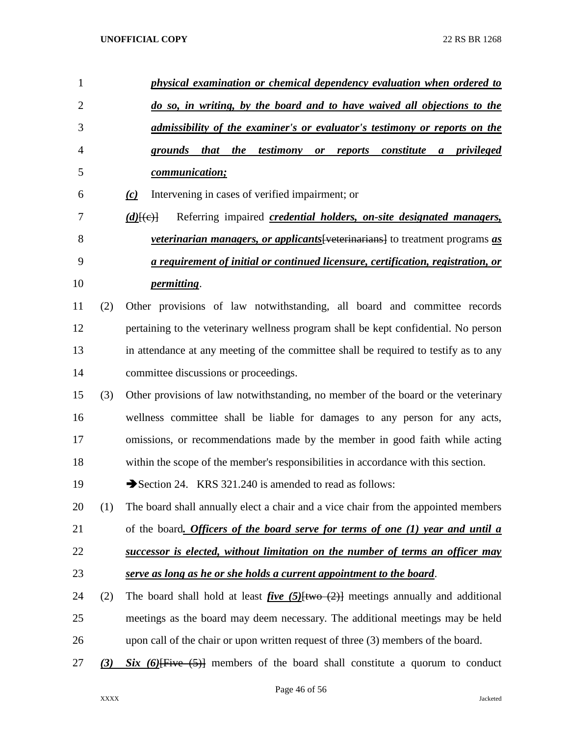| $\mathbf{1}$   |     | physical examination or chemical dependency evaluation when ordered to                                                         |
|----------------|-----|--------------------------------------------------------------------------------------------------------------------------------|
| $\overline{2}$ |     | do so, in writing, by the board and to have waived all objections to the                                                       |
| 3              |     | admissibility of the examiner's or evaluator's testimony or reports on the                                                     |
| 4              |     | grounds that the<br>testimony<br>reports constitute<br>a privileged<br>$\boldsymbol{or}$                                       |
| 5              |     | communication;                                                                                                                 |
| 6              |     | Intervening in cases of verified impairment; or<br>(c)                                                                         |
| 7              |     | Referring impaired <i>credential holders</i> , <i>on-site designated managers</i> ,<br>$(d)$ $\{e\}$                           |
| 8              |     | <i>veterinarian managers, or applicants</i> [veterinarians] to treatment programs as                                           |
| 9              |     | a requirement of initial or continued licensure, certification, registration, or                                               |
| 10             |     | <i>permitting.</i>                                                                                                             |
| 11             | (2) | Other provisions of law notwithstanding, all board and committee records                                                       |
| 12             |     | pertaining to the veterinary wellness program shall be kept confidential. No person                                            |
| 13             |     | in attendance at any meeting of the committee shall be required to testify as to any                                           |
| 14             |     | committee discussions or proceedings.                                                                                          |
| 15             | (3) | Other provisions of law notwithstanding, no member of the board or the veterinary                                              |
| 16             |     | wellness committee shall be liable for damages to any person for any acts,                                                     |
| 17             |     | omissions, or recommendations made by the member in good faith while acting                                                    |
| 18             |     | within the scope of the member's responsibilities in accordance with this section.                                             |
| 19             |     | Section 24. KRS 321.240 is amended to read as follows:                                                                         |
| 20             | (1) | The board shall annually elect a chair and a vice chair from the appointed members                                             |
| 21             |     | of the board. Officers of the board serve for terms of one (1) year and until a                                                |
| 22             |     | successor is elected, without limitation on the number of terms an officer may                                                 |
| 23             |     | serve as long as he or she holds a current appointment to the board.                                                           |
| 24             | (2) | The board shall hold at least <i>five</i> (5) $\frac{f(w \cdot \lambda)}{g(w \cdot \lambda)}$ meetings annually and additional |
| 25             |     | meetings as the board may deem necessary. The additional meetings may be held                                                  |
| 26             |     | upon call of the chair or upon written request of three (3) members of the board.                                              |
| 27             | (3) | $Six (6)$ Five $(5)$ members of the board shall constitute a quorum to conduct                                                 |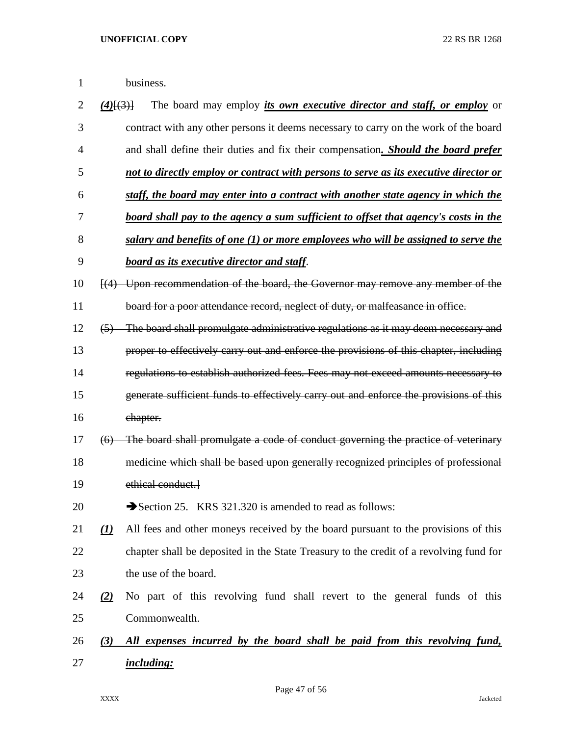| 2  | $(4)$ $(3)$ $\overline{)}$ | The board may employ <i>its own executive director and staff, or employ</i> or             |
|----|----------------------------|--------------------------------------------------------------------------------------------|
| 3  |                            | contract with any other persons it deems necessary to carry on the work of the board       |
| 4  |                            | and shall define their duties and fix their compensation. Should the board prefer          |
| 5  |                            | not to directly employ or contract with persons to serve as its executive director or      |
| 6  |                            | staff, the board may enter into a contract with another state agency in which the          |
| 7  |                            | <u>board shall pay to the agency a sum sufficient to offset that agency's costs in the</u> |
| 8  |                            | salary and benefits of one (1) or more employees who will be assigned to serve the         |
| 9  |                            | <b>board as its executive director and staff.</b>                                          |
| 10 |                            | (4) Upon recommendation of the board, the Governor may remove any member of the            |
| 11 |                            | board for a poor attendance record, neglect of duty, or malfeasance in office.             |
| 12 | (5)                        | The board shall promulgate administrative regulations as it may deem necessary and         |
| 13 |                            | proper to effectively carry out and enforce the provisions of this chapter, including      |
| 14 |                            | regulations to establish authorized fees. Fees may not exceed amounts necessary to         |
| 15 |                            | generate sufficient funds to effectively carry out and enforce the provisions of this      |
| 16 |                            | chapter.                                                                                   |
| 17 | (6)                        | The board shall promulgate a code of conduct governing the practice of veterinary          |
| 18 |                            | medicine which shall be based upon generally recognized principles of professional         |
| 19 |                            | ethical conduct.                                                                           |
| 20 |                            | Section 25. KRS 321.320 is amended to read as follows:                                     |
| 21 | (I)                        | All fees and other moneys received by the board pursuant to the provisions of this         |
| 22 |                            | chapter shall be deposited in the State Treasury to the credit of a revolving fund for     |
| 23 |                            | the use of the board.                                                                      |
| 24 | (2)                        | No part of this revolving fund shall revert to the general funds of this                   |
| 25 |                            | Commonwealth.                                                                              |
| 26 | (3)                        | All expenses incurred by the board shall be paid from this revolving fund,                 |
| 27 |                            | <i>including:</i>                                                                          |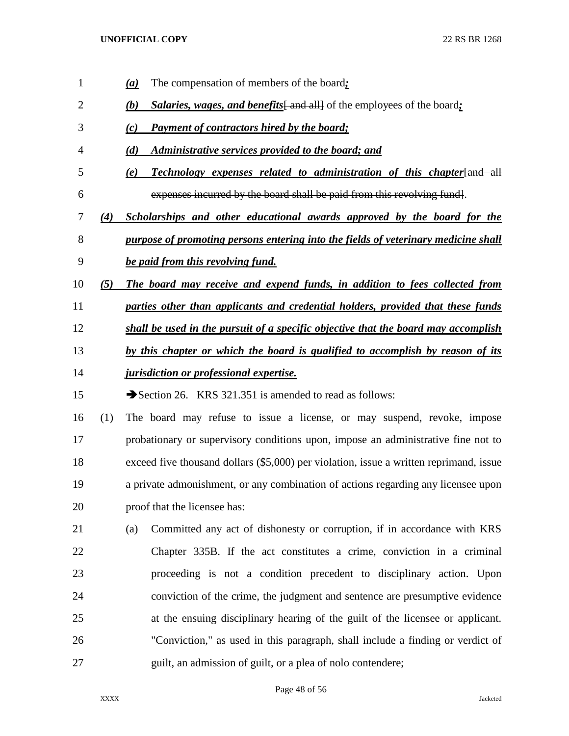*(a)* The compensation of members of the board*; (b) Salaries, wages, and benefits* and all of the employees of the board; *(c) Payment of contractors hired by the board; (d) Administrative services provided to the board; and (e) Technology expenses related to administration of this chapter*[and all expenses incurred by the board shall be paid from this revolving fund]. *(4) Scholarships and other educational awards approved by the board for the purpose of promoting persons entering into the fields of veterinary medicine shall be paid from this revolving fund. (5) The board may receive and expend funds, in addition to fees collected from parties other than applicants and credential holders, provided that these funds shall be used in the pursuit of a specific objective that the board may accomplish by this chapter or which the board is qualified to accomplish by reason of its jurisdiction or professional expertise.* 15 Section 26. KRS 321.351 is amended to read as follows: (1) The board may refuse to issue a license, or may suspend, revoke, impose probationary or supervisory conditions upon, impose an administrative fine not to exceed five thousand dollars (\$5,000) per violation, issue a written reprimand, issue a private admonishment, or any combination of actions regarding any licensee upon proof that the licensee has: (a) Committed any act of dishonesty or corruption, if in accordance with KRS Chapter 335B. If the act constitutes a crime, conviction in a criminal proceeding is not a condition precedent to disciplinary action. Upon conviction of the crime, the judgment and sentence are presumptive evidence at the ensuing disciplinary hearing of the guilt of the licensee or applicant. "Conviction," as used in this paragraph, shall include a finding or verdict of guilt, an admission of guilt, or a plea of nolo contendere;

#### Page 48 of 56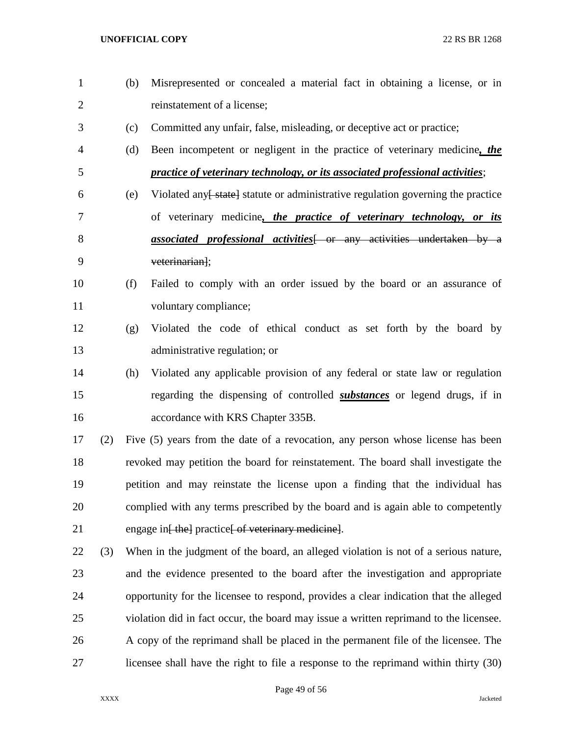(b) Misrepresented or concealed a material fact in obtaining a license, or in reinstatement of a license; (c) Committed any unfair, false, misleading, or deceptive act or practice; (d) Been incompetent or negligent in the practice of veterinary medicine*, the practice of veterinary technology, or its associated professional activities*; 6 (e) Violated any state statute or administrative regulation governing the practice of veterinary medicine*, the practice of veterinary technology, or its*  **associated professional activities** or any activities undertaken by a veterinarian]; (f) Failed to comply with an order issued by the board or an assurance of 11 voluntary compliance; (g) Violated the code of ethical conduct as set forth by the board by administrative regulation; or (h) Violated any applicable provision of any federal or state law or regulation regarding the dispensing of controlled *substances* or legend drugs, if in **accordance with KRS Chapter 335B.**  (2) Five (5) years from the date of a revocation, any person whose license has been revoked may petition the board for reinstatement. The board shall investigate the petition and may reinstate the license upon a finding that the individual has complied with any terms prescribed by the board and is again able to competently 21 engage in<del>[ the]</del> practice<del>[ of veterinary medicine]</del>. (3) When in the judgment of the board, an alleged violation is not of a serious nature, and the evidence presented to the board after the investigation and appropriate opportunity for the licensee to respond, provides a clear indication that the alleged violation did in fact occur, the board may issue a written reprimand to the licensee. A copy of the reprimand shall be placed in the permanent file of the licensee. The licensee shall have the right to file a response to the reprimand within thirty (30)

Page 49 of 56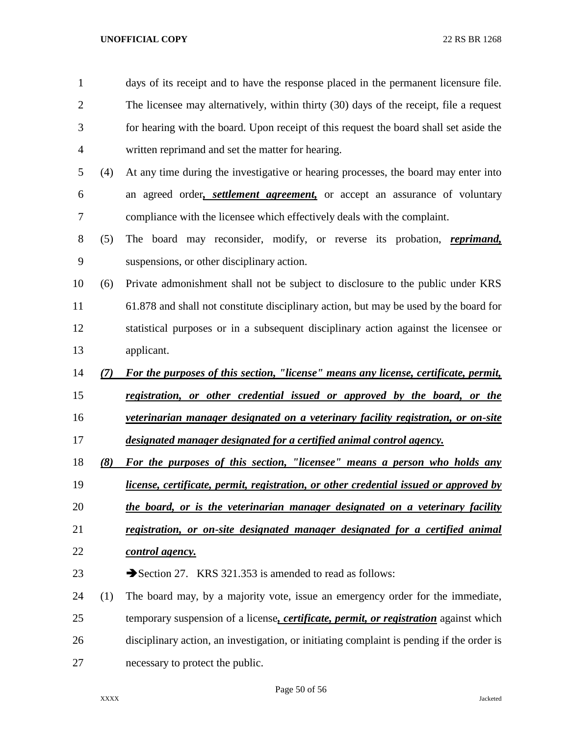| 1              |     | days of its receipt and to have the response placed in the permanent licensure file.   |
|----------------|-----|----------------------------------------------------------------------------------------|
| $\overline{2}$ |     | The licensee may alternatively, within thirty (30) days of the receipt, file a request |
| 3              |     | for hearing with the board. Upon receipt of this request the board shall set aside the |
| $\overline{4}$ |     | written reprimand and set the matter for hearing.                                      |
| 5              | (4) | At any time during the investigative or hearing processes, the board may enter into    |
| 6              |     | an agreed order, <i>settlement agreement</i> , or accept an assurance of voluntary     |
| 7              |     | compliance with the licensee which effectively deals with the complaint.               |
| 8              | (5) | The board may reconsider, modify, or reverse its probation, <i>reprimand</i> ,         |
| 9              |     | suspensions, or other disciplinary action.                                             |
| 10             | (6) | Private admonishment shall not be subject to disclosure to the public under KRS        |
| 11             |     | 61.878 and shall not constitute disciplinary action, but may be used by the board for  |
| 12             |     | statistical purposes or in a subsequent disciplinary action against the licensee or    |
| 13             |     | applicant.                                                                             |
| 14             | (7) | For the purposes of this section, "license" means any license, certificate, permit,    |
| 15             |     | registration, or other credential issued or approved by the board, or the              |
| 16             |     | veterinarian manager designated on a veterinary facility registration, or on-site      |
| 17             |     | designated manager designated for a certified animal control agency.                   |
| 18             | (8) | For the purposes of this section, "licensee" means a person who holds any              |
| 19             |     | license, certificate, permit, registration, or other credential issued or approved by  |
| 20             |     | the board, or is the veterinarian manager designated on a veterinary facility          |
| 21             |     | registration, or on-site designated manager designated for a certified animal          |
| 22             |     | control agency.                                                                        |
| 23             |     | Section 27. KRS 321.353 is amended to read as follows:                                 |
| 24             | (1) | The board may, by a majority vote, issue an emergency order for the immediate,         |
| 25             |     | temporary suspension of a license, certificate, permit, or registration against which  |
|                |     |                                                                                        |

necessary to protect the public.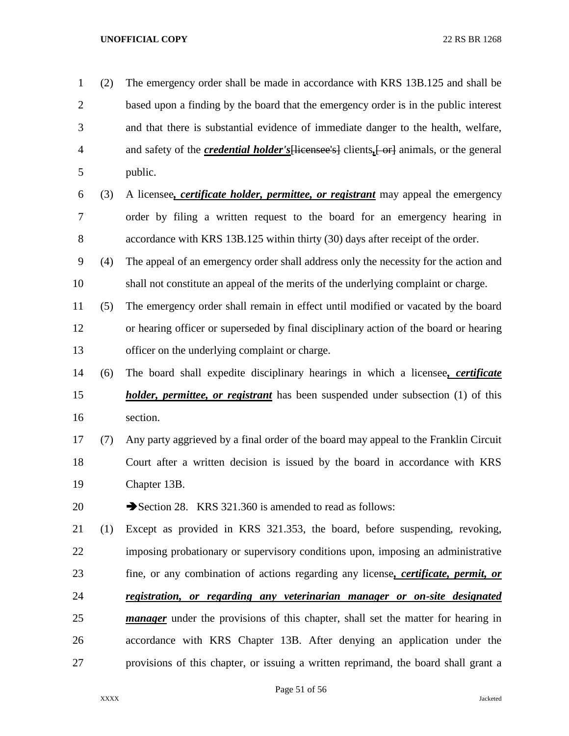| $\mathbf{1}$   | (2) | The emergency order shall be made in accordance with KRS 13B.125 and shall be                   |
|----------------|-----|-------------------------------------------------------------------------------------------------|
| $\overline{2}$ |     | based upon a finding by the board that the emergency order is in the public interest            |
| 3              |     | and that there is substantial evidence of immediate danger to the health, welfare,              |
| 4              |     | and safety of the <i>credential holder's</i> [licensee's] clients, [or] animals, or the general |
| 5              |     | public.                                                                                         |
| 6              | (3) | A licensee, certificate holder, permittee, or registrant may appeal the emergency               |
| 7              |     | order by filing a written request to the board for an emergency hearing in                      |
| 8              |     | accordance with KRS 13B.125 within thirty (30) days after receipt of the order.                 |
| 9              | (4) | The appeal of an emergency order shall address only the necessity for the action and            |
| 10             |     | shall not constitute an appeal of the merits of the underlying complaint or charge.             |
| 11             | (5) | The emergency order shall remain in effect until modified or vacated by the board               |
| 12             |     | or hearing officer or superseded by final disciplinary action of the board or hearing           |
| 13             |     | officer on the underlying complaint or charge.                                                  |
| 14             | (6) | The board shall expedite disciplinary hearings in which a licensee, <i>certificate</i>          |
| 15             |     | <i>holder, permittee, or registrant</i> has been suspended under subsection (1) of this         |
| 16             |     | section.                                                                                        |
| 17             | (7) | Any party aggrieved by a final order of the board may appeal to the Franklin Circuit            |
| 18             |     | Court after a written decision is issued by the board in accordance with KRS                    |
| 19             |     | Chapter 13B.                                                                                    |
| 20             |     | Section 28. KRS 321.360 is amended to read as follows:                                          |
| 21             | (1) | Except as provided in KRS 321.353, the board, before suspending, revoking,                      |
| 22             |     | imposing probationary or supervisory conditions upon, imposing an administrative                |
| 23             |     | fine, or any combination of actions regarding any license, certificate, permit, or              |
| 24             |     | registration, or regarding any veterinarian manager or on-site designated                       |
| 25             |     | <i>manager</i> under the provisions of this chapter, shall set the matter for hearing in        |
| 26             |     | accordance with KRS Chapter 13B. After denying an application under the                         |
| 27             |     | provisions of this chapter, or issuing a written reprimand, the board shall grant a             |

Page 51 of 56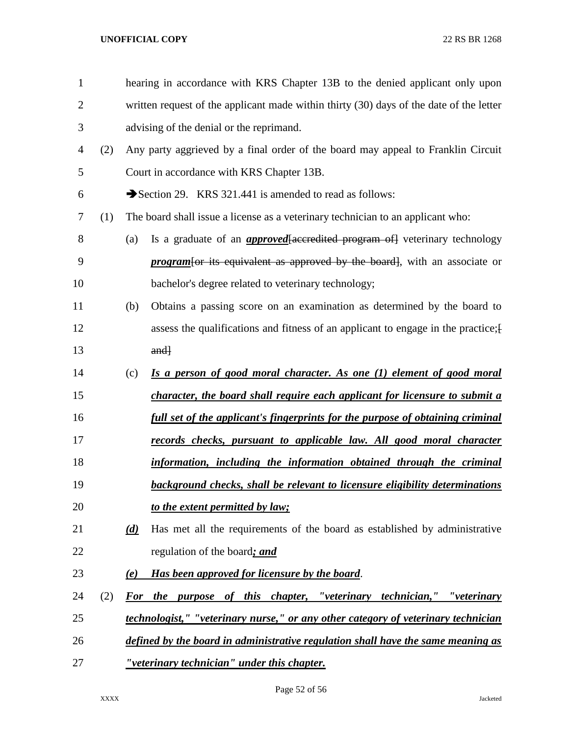| $\mathbf{1}$   |     |     | hearing in accordance with KRS Chapter 13B to the denied applicant only upon            |
|----------------|-----|-----|-----------------------------------------------------------------------------------------|
| $\overline{2}$ |     |     | written request of the applicant made within thirty (30) days of the date of the letter |
| 3              |     |     | advising of the denial or the reprimand.                                                |
| $\overline{4}$ | (2) |     | Any party aggrieved by a final order of the board may appeal to Franklin Circuit        |
| 5              |     |     | Court in accordance with KRS Chapter 13B.                                               |
| 6              |     |     | Section 29. KRS 321.441 is amended to read as follows:                                  |
| 7              | (1) |     | The board shall issue a license as a veterinary technician to an applicant who:         |
| 8              |     | (a) | Is a graduate of an <i>approved</i> [accredited program of] veterinary technology       |
| 9              |     |     | <i>program</i> for its equivalent as approved by the board, with an associate or        |
| 10             |     |     | bachelor's degree related to veterinary technology;                                     |
| 11             |     | (b) | Obtains a passing score on an examination as determined by the board to                 |
| 12             |     |     | assess the qualifications and fitness of an applicant to engage in the practice; [      |
| 13             |     |     | $and\}$                                                                                 |
| 14             |     | (c) | Is a person of good moral character. As one (1) element of good moral                   |
| 15             |     |     | character, the board shall require each applicant for licensure to submit a             |
| 16             |     |     | full set of the applicant's fingerprints for the purpose of obtaining criminal          |
| 17             |     |     | records checks, pursuant to applicable law. All good moral character                    |
| 18             |     |     | information, including the information obtained through the criminal                    |
| 19             |     |     | background checks, shall be relevant to licensure eligibility determinations            |
| 20             |     |     | to the extent permitted by law;                                                         |
| 21             |     | (d) | Has met all the requirements of the board as established by administrative              |
| 22             |     |     | regulation of the board; and                                                            |
| 23             |     | (e) | Has been approved for licensure by the board.                                           |
| 24             | (2) |     | For the purpose of this chapter, "veterinary technician," "veterinary                   |
| 25             |     |     | technologist," "veterinary nurse," or any other category of veterinary technician       |
| 26             |     |     | defined by the board in administrative regulation shall have the same meaning as        |
| 27             |     |     | "veterinary technician" under this chapter.                                             |

Page 52 of 56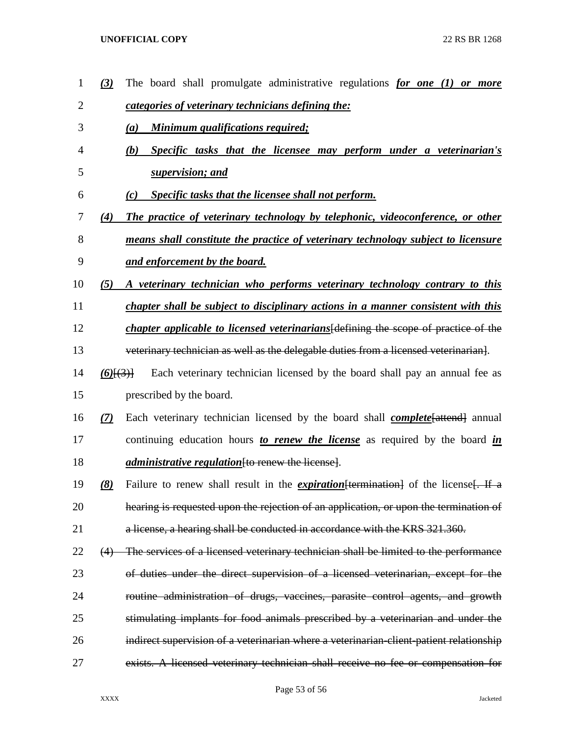| $\mathbf 1$ | $\left(3\right)$ | The board shall promulgate administrative regulations for one $(1)$ or more                |
|-------------|------------------|--------------------------------------------------------------------------------------------|
| 2           |                  | categories of veterinary technicians defining the:                                         |
| 3           |                  | <u>Minimum qualifications required;</u><br>(a)                                             |
| 4           |                  | Specific tasks that the licensee may perform under a veterinarian's<br>(b)                 |
| 5           |                  | supervision; and                                                                           |
| 6           |                  | Specific tasks that the licensee shall not perform.<br>(c)                                 |
| 7           | (4)              | The practice of veterinary technology by telephonic, videoconference, or other             |
| 8           |                  | means shall constitute the practice of veterinary technology subject to licensure          |
| 9           |                  | <u>and enforcement by the board.</u>                                                       |
| 10          | (5)              | A veterinary technician who performs veterinary technology contrary to this                |
| 11          |                  | chapter shall be subject to disciplinary actions in a manner consistent with this          |
| 12          |                  | <i>chapter applicable to licensed veterinarians</i> [defining the scope of practice of the |
| 13          |                  | veterinary technician as well as the delegable duties from a licensed veterinarian.        |
| 14          | $(6)$ $\{3\}$    | Each veterinary technician licensed by the board shall pay an annual fee as                |
| 15          |                  | prescribed by the board.                                                                   |
| 16          | (7)              | Each veterinary technician licensed by the board shall <b>complete</b> [attend] annual     |
| 17          |                  | continuing education hours to renew the license as required by the board in                |
| 18          |                  | <i>administrative regulation</i> fto renew the license.                                    |
| 19          | (8)              | Failure to renew shall result in the <i>expiration</i> [termination] of the license. If a  |
| 20          |                  | hearing is requested upon the rejection of an application, or upon the termination of      |
| 21          |                  | a license, a hearing shall be conducted in accordance with the KRS 321.360.                |
| 22          | (4)              | The services of a licensed veterinary technician shall be limited to the performance       |
| 23          |                  | of duties under the direct supervision of a licensed veterinarian, except for the          |
| 24          |                  | routine administration of drugs, vaccines, parasite control agents, and growth             |
| 25          |                  | stimulating implants for food animals prescribed by a veterinarian and under the           |
| 26          |                  | indirect supervision of a veterinarian where a veterinarian-client-patient relationship    |
| 27          |                  | exists. A licensed veterinary technician shall receive no fee or compensation for          |
|             |                  |                                                                                            |

# Page 53 of 56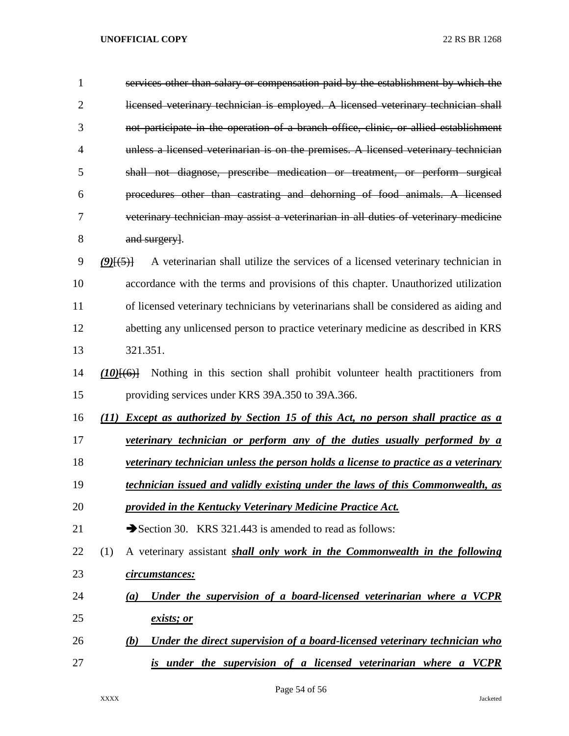| $\mathbf{1}$   | services other than salary or compensation paid by the establishment by which the                 |
|----------------|---------------------------------------------------------------------------------------------------|
| $\overline{2}$ | licensed veterinary technician is employed. A licensed veterinary technician shall                |
| 3              | not participate in the operation of a branch office, clinic, or allied establishment              |
| 4              | unless a licensed veterinarian is on the premises. A licensed veterinary technician               |
| 5              | shall not diagnose, prescribe medication or treatment, or perform surgical                        |
| 6              | procedures other than castrating and dehorning of food animals. A licensed                        |
| 7              | veterinary technician may assist a veterinarian in all duties of veterinary medicine              |
| 8              | and surgery.                                                                                      |
| 9              | A veterinarian shall utilize the services of a licensed veterinary technician in<br>$(9)$ $(5)$ } |
| 10             | accordance with the terms and provisions of this chapter. Unauthorized utilization                |
| 11             | of licensed veterinary technicians by veterinarians shall be considered as aiding and             |
| 12             | abetting any unlicensed person to practice veterinary medicine as described in KRS                |
| 13             | 321.351.                                                                                          |
| 14             | Nothing in this section shall prohibit volunteer health practitioners from<br>$(10)$ $(6)$ $+$    |
| 15             | providing services under KRS 39A.350 to 39A.366.                                                  |
| 16             | <b>Except as authorized by Section 15 of this Act, no person shall practice as a</b><br>(11)      |
| 17             | veterinary technician or perform any of the duties usually performed by a                         |
| 18             | <i>veterinary technician unless the person holds a license to practice as a veterinary</i>        |
| 19             | <u>technician issued and validly existing under the laws of this Commonwealth, as</u>             |
| 20             | provided in the Kentucky Veterinary Medicine Practice Act.                                        |
| 21             | Section 30. KRS 321.443 is amended to read as follows:                                            |
| 22             | A veterinary assistant <i>shall only work in the Commonwealth in the following</i><br>(1)         |
| 23             | circumstances:                                                                                    |
| 24             | Under the supervision of a board-licensed veterinarian where a VCPR<br>(a)                        |
| 25             | <u>exists; or</u>                                                                                 |
| 26             | Under the direct supervision of a board-licensed veterinary technician who<br>(b)                 |
| 27             | is under the supervision of a licensed veterinarian where a VCPR                                  |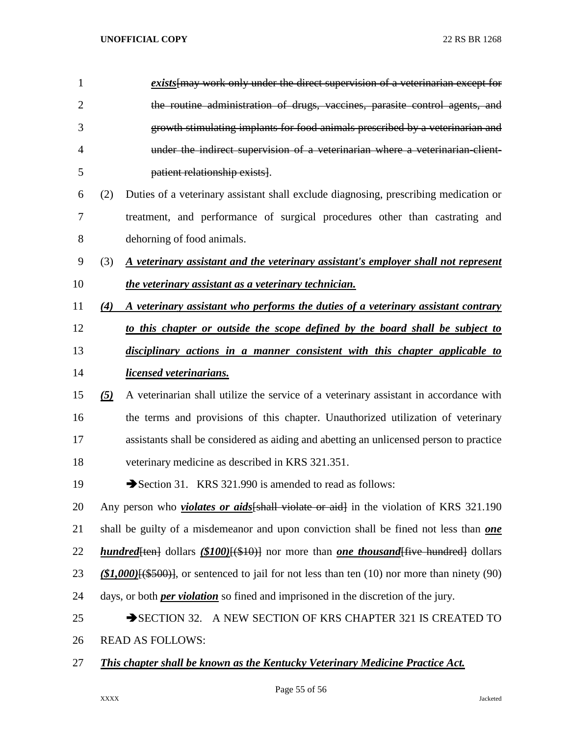| 1              |                   | exists may work only under the direct supervision of a veterinarian except for                    |
|----------------|-------------------|---------------------------------------------------------------------------------------------------|
| $\overline{2}$ |                   | the routine administration of drugs, vaccines, parasite control agents, and                       |
| 3              |                   | growth stimulating implants for food animals prescribed by a veterinarian and                     |
| $\overline{4}$ |                   | under the indirect supervision of a veterinarian where a veterinarian client-                     |
| 5              |                   | patient relationship exists.                                                                      |
| 6              | (2)               | Duties of a veterinary assistant shall exclude diagnosing, prescribing medication or              |
| 7              |                   | treatment, and performance of surgical procedures other than castrating and                       |
| 8              |                   | dehorning of food animals.                                                                        |
| 9              | (3)               | A veterinary assistant and the veterinary assistant's employer shall not represent                |
| 10             |                   | the veterinary assistant as a veterinary technician.                                              |
| 11             | (4)               | A veterinary assistant who performs the duties of a veterinary assistant contrary                 |
| 12             |                   | to this chapter or outside the scope defined by the board shall be subject to                     |
| 13             |                   | disciplinary actions in a manner consistent with this chapter applicable to                       |
| 14             |                   | <i>licensed veterinarians.</i>                                                                    |
| 15             | $\left( 5\right)$ | A veterinarian shall utilize the service of a veterinary assistant in accordance with             |
| 16             |                   | the terms and provisions of this chapter. Unauthorized utilization of veterinary                  |
| 17             |                   | assistants shall be considered as aiding and abetting an unlicensed person to practice            |
| 18             |                   | veterinary medicine as described in KRS 321.351.                                                  |
| 19             |                   | Section 31. KRS 321.990 is amended to read as follows:                                            |
| 20             |                   | Any person who <i>violates or aids</i> [shall violate or aid] in the violation of KRS 321.190     |
| 21             |                   | shall be guilty of a misdemeanor and upon conviction shall be fined not less than <b>one</b>      |
| 22             |                   | <b>hundred</b> [ten] dollars (\$100) [(\$10)] nor more than one thousand five hundred dollars     |
| 23             |                   | $(\$1,000)$ $(\$500)$ , or sentenced to jail for not less than ten (10) nor more than ninety (90) |
| 24             |                   | days, or both <i>per violation</i> so fined and imprisoned in the discretion of the jury.         |
| 25             |                   | SECTION 32. A NEW SECTION OF KRS CHAPTER 321 IS CREATED TO                                        |
| 26             |                   | <b>READ AS FOLLOWS:</b>                                                                           |
|                |                   |                                                                                                   |

*This chapter shall be known as the Kentucky Veterinary Medicine Practice Act.*